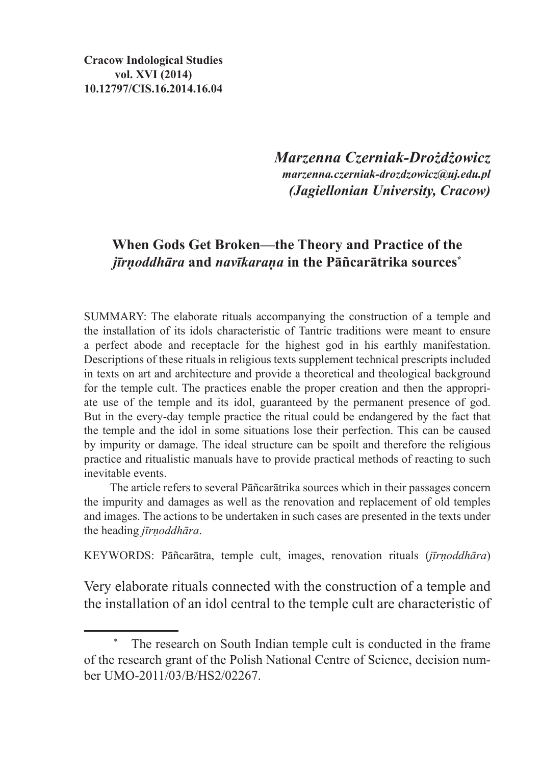*Marzenna Czerniak-Drożdżowicz marzenna.czerniak-drozdzowicz@uj.edu.pl (Jagiellonian University, Cracow)*

## **When Gods Get Broken—the Theory and Practice of the**  *jīrṇoddhāra* **and** *navīkaraṇa* **in the Pāñcarātrika sources\***

SUMMARY: The elaborate rituals accompanying the construction of a temple and the installation of its idols characteristic of Tantric traditions were meant to ensure a perfect abode and receptacle for the highest god in his earthly manifestation. Descriptions of these rituals in religious texts supplement technical prescripts included in texts on art and architecture and provide a theoretical and theological background for the temple cult. The practices enable the proper creation and then the appropriate use of the temple and its idol, guaranteed by the permanent presence of god. But in the every-day temple practice the ritual could be endangered by the fact that the temple and the idol in some situations lose their perfection. This can be caused by impurity or damage. The ideal structure can be spoilt and therefore the religious practice and ritualistic manuals have to provide practical methods of reacting to such inevitable events.

The article refers to several Pāñcarātrika sources which in their passages concern the impurity and damages as well as the renovation and replacement of old temples and images. The actions to be undertaken in such cases are presented in the texts under the heading *jīrṇoddhāra*.

KEYWORDS: Pāñcarātra, temple cult, images, renovation rituals (*jīrṇoddhāra*)

Very elaborate rituals connected with the construction of a temple and the installation of an idol central to the temple cult are characteristic of

The research on South Indian temple cult is conducted in the frame of the research grant of the Polish National Centre of Science, decision number UMO-2011/03/B/HS2/02267.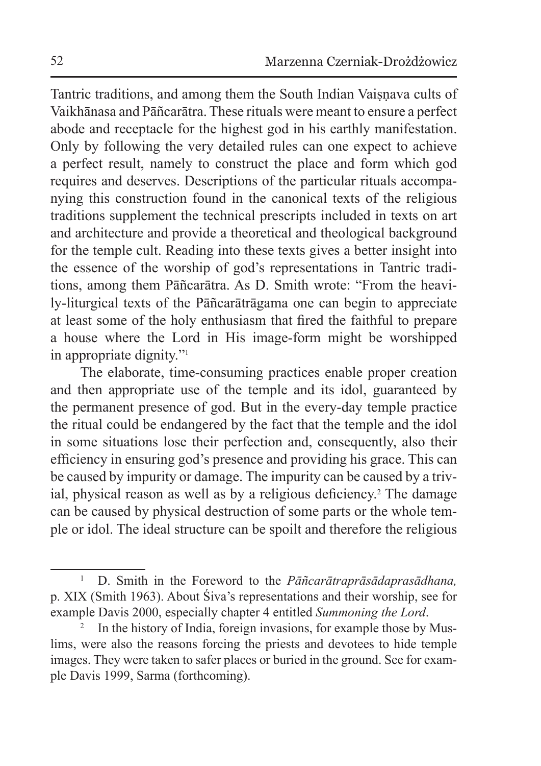Tantric traditions, and among them the South Indian Vaisnava cults of Vaikhānasa and Pāñcarātra. These rituals were meant to ensure a perfect abode and receptacle for the highest god in his earthly manifestation. Only by following the very detailed rules can one expect to achieve a perfect result, namely to construct the place and form which god requires and deserves. Descriptions of the particular rituals accompanying this construction found in the canonical texts of the religious traditions supplement the technical prescripts included in texts on art and architecture and provide a theoretical and theological background for the temple cult. Reading into these texts gives a better insight into the essence of the worship of god's representations in Tantric traditions, among them Pāñcarātra. As D. Smith wrote: "From the heavily-liturgical texts of the Pāñcarātrāgama one can begin to appreciate at least some of the holy enthusiasm that fired the faithful to prepare a house where the Lord in His image-form might be worshipped in appropriate dignity."1

The elaborate, time-consuming practices enable proper creation and then appropriate use of the temple and its idol, guaranteed by the permanent presence of god. But in the every-day temple practice the ritual could be endangered by the fact that the temple and the idol in some situations lose their perfection and, consequently, also their efficiency in ensuring god's presence and providing his grace. This can be caused by impurity or damage. The impurity can be caused by a trivial, physical reason as well as by a religious deficiency.<sup>2</sup> The damage can be caused by physical destruction of some parts or the whole temple or idol. The ideal structure can be spoilt and therefore the religious

<sup>1</sup> D. Smith in the Foreword to the *Pāñcarātraprāsādaprasādhana,*  p. XIX (Smith 1963). About Śiva's representations and their worship, see for example Davis 2000, especially chapter 4 entitled Summoning the Lord.

In the history of India, foreign invasions, for example those by Muslims, were also the reasons forcing the priests and devotees to hide temple images. They were taken to safer places or buried in the ground. See for example Davis 1999, Sarma (forthcoming).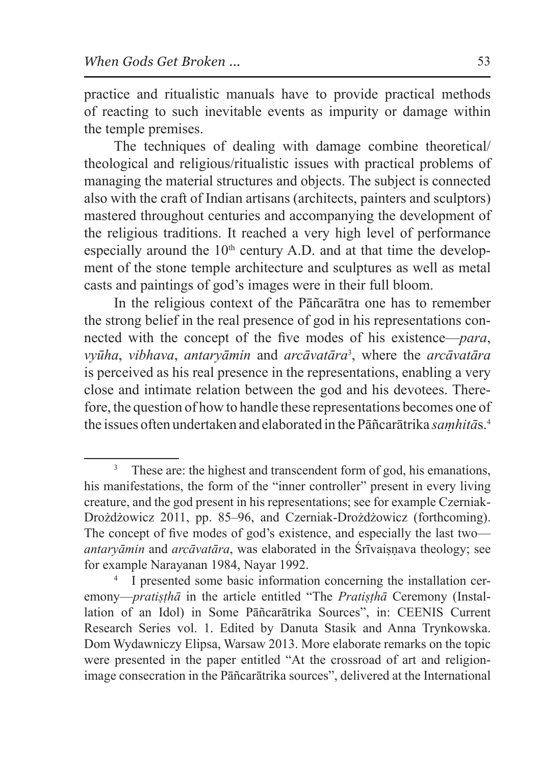practice and ritualistic manuals have to provide practical methods of reacting to such inevitable events as impurity or damage within the temple premises.

The techniques of dealing with damage combine theoretical/ theological and religious/ritualistic issues with practical problems of managing the material structures and objects. The subject is connected also with the craft of Indian artisans (architects, painters and sculptors) mastered throughout centuries and accompanying the development of the religious traditions. It reached a very high level of performance especially around the  $10<sup>th</sup>$  century A.D. and at that time the development of the stone temple architecture and sculptures as well as metal casts and paintings of god's images were in their full bloom.

In the religious context of the Pāñcarātra one has to remember the strong belief in the real presence of god in his representations connected with the concept of the five modes of his existence—*para*, *vyūha*, *vibhava*, *antaryāmin* and *arcāvatāra*<sup>3</sup> , where the *arcāvatāra* is perceived as his real presence in the representations, enabling a very close and intimate relation between the god and his devotees. Therefore, the question of how to handle these representations becomes one of the issues often undertaken and elaborated in the Pāñcarātrika *saṃhitā*s.4

These are: the highest and transcendent form of god, his emanations, his manifestations, the form of the "inner controller" present in every living creature, and the god present in his representations; see for example Czerniak-Drożdżowicz 2011, pp. 85–96, and Czerniak-Drożdżowicz (forthcoming). The concept of five modes of god's existence, and especially the last two *antaryāmin* and *arcāvatāra*, was elaborated in the Śrīvaisnava theology; see for example Narayanan 1984, Nayar 1992.

<sup>4</sup> I presented some basic information concerning the installation ceremony—*pratiṣṭhā* in the article entitled "The *Pratiṣṭhā* Ceremony (Installation of an Idol) in Some Pāñcarātrika Sources", in: CEENIS Current Research Series vol. 1. Edited by Danuta Stasik and Anna Trynkowska. Dom Wydawniczy Elipsa, Warsaw 2013. More elaborate remarks on the topic were presented in the paper entitled "At the crossroad of art and religionimage consecration in the Pāñcarātrika sources", delivered at the International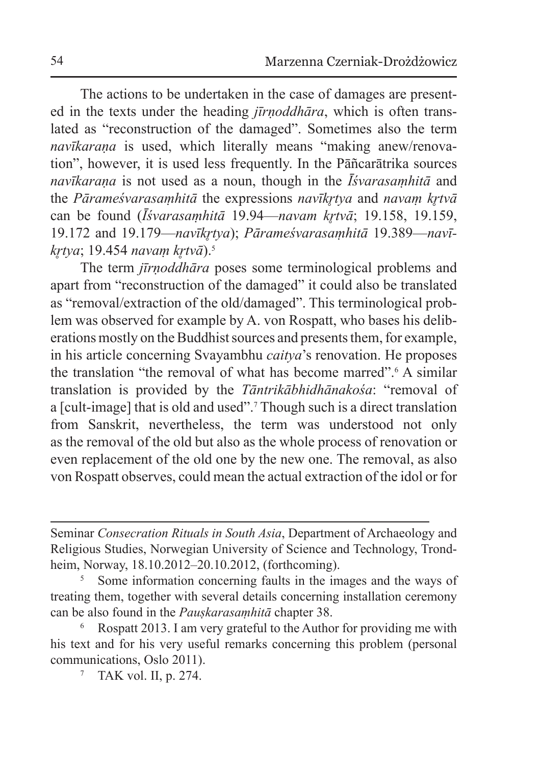The actions to be undertaken in the case of damages are presented in the texts under the heading *jīrṇoddhāra*, which is often translated as "reconstruction of the damaged". Sometimes also the term *navīkaraṇa* is used, which literally means "making anew/renovation", however, it is used less frequently. In the Pāñcarātrika sources *navīkaraṇa* is not used as a noun, though in the *Īśvarasaṃhitā* and the *Pārameśvarasamhitā* the expressions *navīkrtva* and *navam krtvā* can be found (*Īśvarasamhitā* 19.94—*navam krtvā*; 19.158, 19.159, 19.172 and 19.179—*navīkr̥tya*); *Pārameśvarasaṃhitā* 19.389—*navīkr̥tya*; 19.454 *navaṃ kr̥tvā*).5

The term *jīrṇoddhāra* poses some terminological problems and apart from "reconstruction of the damaged" it could also be translated as "removal/extraction of the old/damaged". This terminological problem was observed for example by A. von Rospatt, who bases his deliberations mostly on the Buddhist sources and presents them, for example, in his article concerning Svayambhu *caitya*'s renovation. He proposes the translation "the removal of what has become marred".<sup>6</sup> A similar translation is provided by the *Tāntrikābhidhānakośa*: "removal of a [cult-image] that is old and used".<sup>7</sup> Though such is a direct translation from Sanskrit, nevertheless, the term was understood not only as the removal of the old but also as the whole process of renovation or even replacement of the old one by the new one. The removal, as also von Rospatt observes, could mean the actual extraction of the idol or for

Seminar *Consecration Rituals in South Asia*, Department of Archaeology and Religious Studies, Norwegian University of Science and Technology, Trondheim, Norway, 18.10.2012–20.10.2012, (forthcoming).<br><sup>5</sup> Some information concerning faults in the images and the ways of

treating them, together with several details concerning installation ceremony can be also found in the *Pauṣkarasaṃhitā* chapter 38.

<sup>6</sup> Rospatt 2013. I am very grateful to the Author for providing me with his text and for his very useful remarks concerning this problem (personal communications, Oslo 2011).

<sup>7</sup> TAK vol. II, p. 274.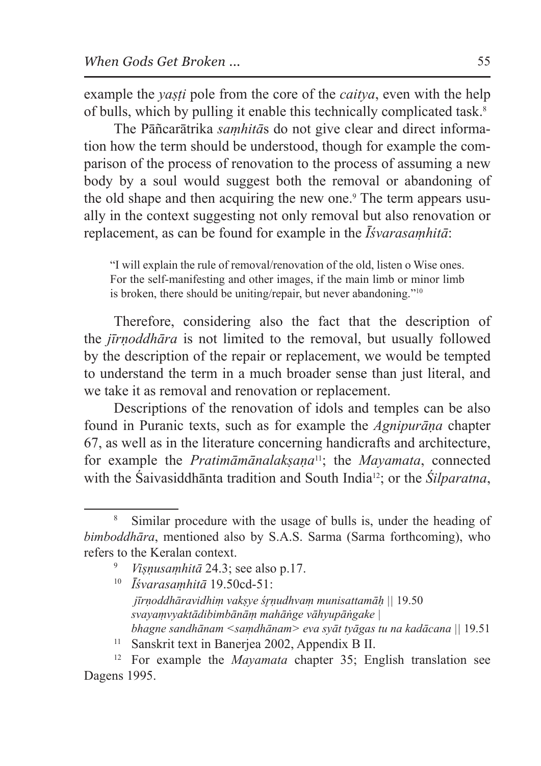example the *yaṣṭi* pole from the core of the *caitya*, even with the help of bulls, which by pulling it enable this technically complicated task.8

The Pāñcarātrika *saṃhitā*s do not give clear and direct information how the term should be understood, though for example the comparison of the process of renovation to the process of assuming a new body by a soul would suggest both the removal or abandoning of the old shape and then acquiring the new one.<sup>9</sup> The term appears usually in the context suggesting not only removal but also renovation or replacement, as can be found for example in the *Īśvarasaṃhitā*:

"I will explain the rule of removal/renovation of the old, listen o Wise ones. For the self-manifesting and other images, if the main limb or minor limb is broken, there should be uniting/repair, but never abandoning."10

Therefore, considering also the fact that the description of the *jīrṇoddhāra* is not limited to the removal, but usually followed by the description of the repair or replacement, we would be tempted to understand the term in a much broader sense than just literal, and we take it as removal and renovation or replacement.

Descriptions of the renovation of idols and temples can be also found in Puranic texts, such as for example the *Agnipurāṇa* chapter 67, as well as in the literature concerning handicrafts and architecture, for example the *Pratimāmānalakṣaṇa*11; the *Mayamata*, connected with the Śaivasiddhānta tradition and South India12; or the *Śilparatna*,

- <sup>9</sup> *Viṣṇusaṃhitā* 24.3; see also p.17.
- <sup>10</sup> *Īśvarasaṃhitā* 19.50cd-51: *jīrṇoddhāravidhiṃ vakṣye śr̥ṇudhvaṃ munisattamāḥ ||* 19.50 *svayaṃvyaktādibimbānāṃ mahāṅge vāhyupāṅgake | bhagne sandhānam <saṃdhānam> eva syāt tyāgas tu na kadācana ||* 19.51
- 

<sup>8</sup> Similar procedure with the usage of bulls is, under the heading of *bimboddhāra*, mentioned also by S.A.S. Sarma (Sarma forthcoming), who refers to the Keralan context.

<sup>&</sup>lt;sup>11</sup> Sanskrit text in Banerjea 2002, Appendix B II.<br><sup>12</sup> For example the *Mayamata* chapter 35; English translation see Dagens 1995.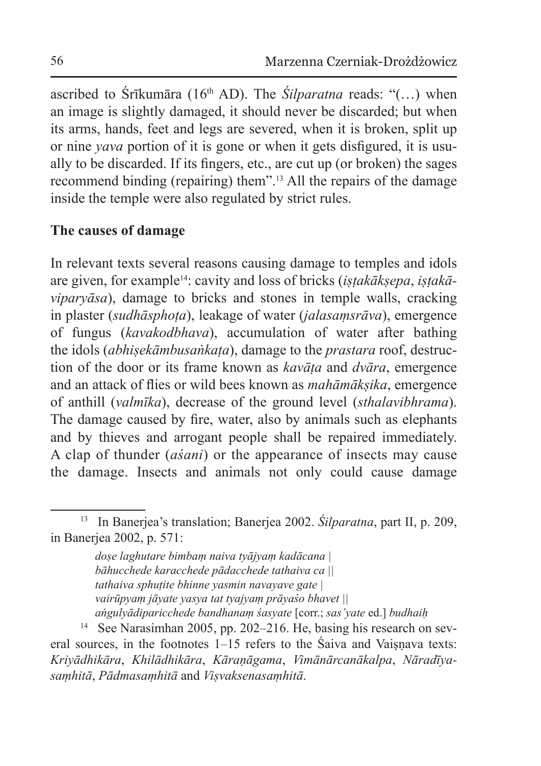ascribed to Śrīkumāra (16th AD). The *Śilparatna* reads: "(…) when an image is slightly damaged, it should never be discarded; but when its arms, hands, feet and legs are severed, when it is broken, split up or nine *yava* portion of it is gone or when it gets disfigured, it is usually to be discarded. If its fingers, etc., are cut up (or broken) the sages recommend binding (repairing) them".13 All the repairs of the damage inside the temple were also regulated by strict rules.

### **The causes of damage**

In relevant texts several reasons causing damage to temples and idols are given, for example14: cavity and loss of bricks (*iṣṭakākṣepa*, *iṣṭakāviparyāsa*), damage to bricks and stones in temple walls, cracking in plaster (*sudhāsphoṭa*), leakage of water (*jalasaṃsrāva*), emergence of fungus (*kavakodbhava*), accumulation of water after bathing the idols (*abhiṣekāmbusaṅkaṭa*), damage to the *prastara* roof, destruction of the door or its frame known as *kavāṭa* and *dvāra*, emergence and an attack of flies or wild bees known as *mahāmākṣika*, emergence of anthill (*valmīka*), decrease of the ground level (*sthalavibhrama*). The damage caused by fire, water, also by animals such as elephants and by thieves and arrogant people shall be repaired immediately. A clap of thunder (*aśani*) or the appearance of insects may cause the damage. Insects and animals not only could cause damage

*doṣe laghutare bimbaṃ naiva tyājyaṃ kadācana | bāhucchede karacchede pādacchede tathaiva ca || tathaiva sphuṭite bhinne yasmin navayave gate | vairūpyaṃ jāyate yasya tat tyajyaṃ prāyaśo bhavet || aṅgulyādiparicchede bandhanaṃ śasyate* [corr.; *sas'yate* ed.] *budhaiḥ* 

<sup>14</sup> See Narasimhan 2005, pp. 202–216. He, basing his research on several sources, in the footnotes  $1-15$  refers to the Saiva and Vaisnava texts: *Kriyādhikāra*, *Khilādhikāra*, *Kāraṇāgama*, *Vimānārcanākalpa*, *Nāradīyasaṃhitā*, *Pādmasaṃhitā* and *Viṣvaksenasaṃhitā*.

<sup>13</sup> In Banerjea's translation; Banerjea 2002. *Śilparatna*, part II, p. 209, in Banerjea 2002, p. 571: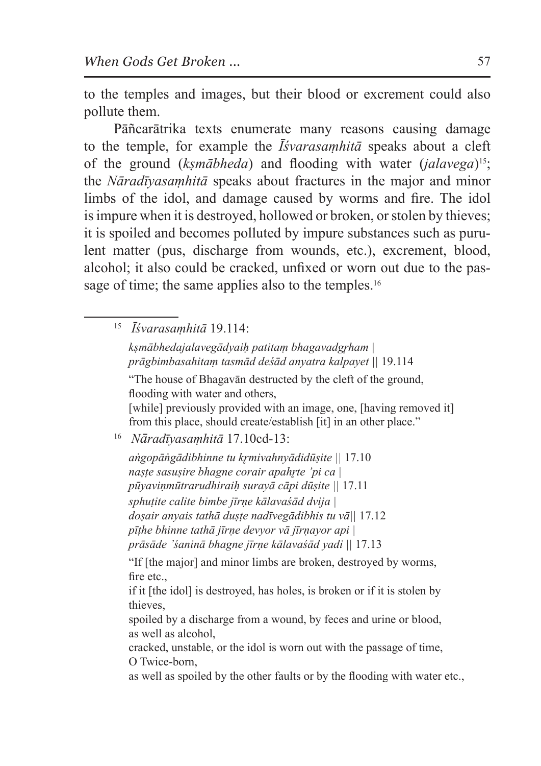to the temples and images, but their blood or excrement could also pollute them.

Pāñcarātrika texts enumerate many reasons causing damage to the temple, for example the *Īśvarasaṃhitā* speaks about a cleft of the ground (*kṣmābheda*) and flooding with water (*jalavega*)15; the *Nāradīyasaṃhitā* speaks about fractures in the major and minor limbs of the idol, and damage caused by worms and fire. The idol is impure when it is destroyed, hollowed or broken, or stolen by thieves; it is spoiled and becomes polluted by impure substances such as purulent matter (pus, discharge from wounds, etc.), excrement, blood, alcohol; it also could be cracked, unfixed or worn out due to the passage of time; the same applies also to the temples.<sup>16</sup>

<sup>15</sup> *Īśvarasaṃhitā* 19.114: *kṣmābhedajalavegādyaiḥ patitaṃ bhagavadgr̥ham | prāgbimbasahitaṃ tasmād deśād anyatra kalpayet ||* 19.114 "The house of Bhagavān destructed by the cleft of the ground, flooding with water and others, [while] previously provided with an image, one, [having removed it] from this place, should create/establish [it] in an other place." <sup>16</sup> *Nāradīyasaṃhitā* 17.10cd-13: *aṅgopāṅgādibhinne tu kr̥mivahnyādidūṣite ||* 17.10 *naṣṭe sasuṣire bhagne corair apahr̥te 'pi ca | pūyaviṇmūtrarudhiraiḥ surayā cāpi dūṣite ||* 17.11 *sphuṭite calite bimbe jīrṇe kālavaśād dvija | doṣair anyais tathā duṣṭe nadīvegādibhis tu vā||* 17.12 *pīṭhe bhinne tathā jīrṇe devyor vā jīrṇayor api | prāsāde 'śaninā bhagne jīrṇe kālavaśād yadi ||* 17.13 "If [the major] and minor limbs are broken, destroyed by worms, fire etc., if it [the idol] is destroyed, has holes, is broken or if it is stolen by thieves, spoiled by a discharge from a wound, by feces and urine or blood, as well as alcohol, cracked, unstable, or the idol is worn out with the passage of time, O Twice-born, as well as spoiled by the other faults or by the flooding with water etc.,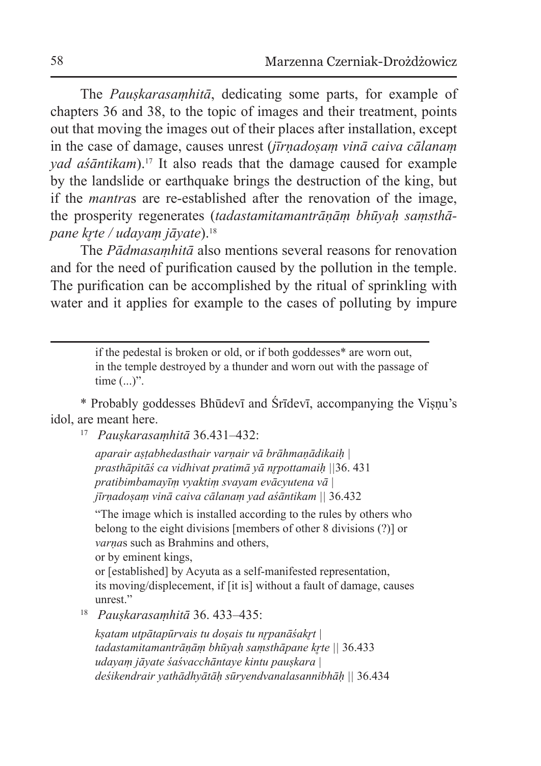The *Pauṣkarasaṃhitā*, dedicating some parts, for example of chapters 36 and 38, to the topic of images and their treatment, points out that moving the images out of their places after installation, except in the case of damage, causes unrest (*jīrṇadoṣaṃ vinā caiva cālanaṃ yad aśāntikam*).17 It also reads that the damage caused for example by the landslide or earthquake brings the destruction of the king, but if the *mantra*s are re-established after the renovation of the image, the prosperity regenerates (*tadastamitamantrāṇāṃ bhūyaḥ saṃsthāpane kr̥te / udayaṃ jāyate*).18

The *Pādmasaṃhitā* also mentions several reasons for renovation and for the need of purification caused by the pollution in the temple. The purification can be accomplished by the ritual of sprinkling with water and it applies for example to the cases of polluting by impure

> if the pedestal is broken or old, or if both goddesses\* are worn out, in the temple destroyed by a thunder and worn out with the passage of time (...)".

\* Probably goddesses Bhūdevī and Śrīdevī, accompanying the Viṣṇu's idol, are meant here.

<sup>17</sup> *Pauṣkarasaṃhitā* 36.431–432:

*aparair aṣṭabhedasthair varṇair vā brāhmaṇādikaiḥ | prasthāpitāś ca vidhivat pratimā yā nr̥pottamaiḥ ||*36. 431 *pratibimbamayīṃ vyaktiṃ svayam evācyutena vā | jīrṇadoṣaṃ vinā caiva cālanaṃ yad aśāntikam ||* 36.432

"The image which is installed according to the rules by others who belong to the eight divisions [members of other 8 divisions (?)] or *varṇa*s such as Brahmins and others, or by eminent kings,

or [established] by Acyuta as a self-manifested representation, its moving/displecement, if [it is] without a fault of damage, causes

unrest." 18 *Pauṣkarasaṃhitā* 36. 433–435:

*kṣatam utpātapūrvais tu doṣais tu nr̥panāśakr̥t | tadastamitamantrāṇāṃ bhūyaḥ saṃsthāpane kr̥te ||* 36.433 *udayaṃ jāyate śaśvacchāntaye kintu pauṣkara | deśikendrair yathādhyātāḥ sūryendvanalasannibhāḥ ||* 36.434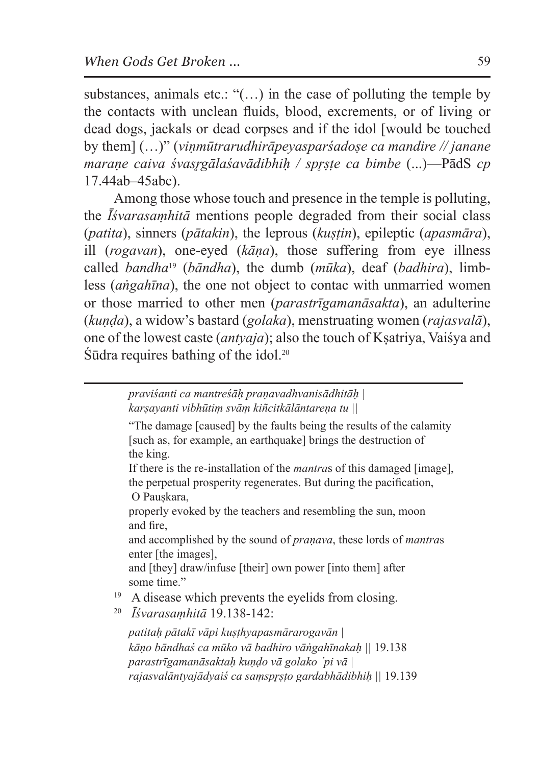substances, animals etc.: " $($ ...) in the case of polluting the temple by the contacts with unclean fluids, blood, excrements, or of living or dead dogs, jackals or dead corpses and if the idol [would be touched by them] (…)" (*viṇmūtrarudhirāpeyasparśadoṣe ca mandire // janane maraṇe caiva śvasr̥gālaśavādibhiḥ / spr̥ṣṭe ca bimbe* (...)—PādS *cp* 17.44ab–45abc).

Among those whose touch and presence in the temple is polluting, the *Īśvarasaṃhitā* mentions people degraded from their social class (*patita*), sinners (*pātakin*), the leprous (*kuṣṭin*), epileptic (*apasmāra*), ill (*rogavan*), one-eyed (*kāṇa*), those suffering from eye illness called *bandha*19 (*bāndha*), the dumb (*mūka*), deaf (*badhira*), limbless (*aṅgahīna*), the one not object to contac with unmarried women or those married to other men (*parastrīgamanāsakta*), an adulterine (*kuṇḍa*), a widow's bastard (*golaka*), menstruating women (*rajasvalā*), one of the lowest caste (*antyaja*); also the touch of Kṣatriya, Vaiśya and  $\overline{\text{S}\bar{\text{u}}}$ dra requires bathing of the idol.<sup>20</sup>

> *praviśanti ca mantreśāḥ praṇavadhvanisādhitāḥ | karṣayanti vibhūtiṃ svāṃ kiñcitkālāntareṇa tu ||*

"The damage [caused] by the faults being the results of the calamity [such as, for example, an earthquake] brings the destruction of the king.

If there is the re-installation of the *mantra*s of this damaged [image], the perpetual prosperity regenerates. But during the pacification, O Pauskara,

properly evoked by the teachers and resembling the sun, moon and fire,

and accomplished by the sound of *praṇava*, these lords of *mantra*s enter [the images],

and [they] draw/infuse [their] own power [into them] after some time."

<sup>19</sup> <sup>A</sup> disease which prevents the eyelids from closing. 20 *Īśvarasaṃhitā* 19.138-142:

*patitaḥ pātakī vāpi kuṣṭhyapasmārarogavān | kāṇo bāndhaś ca mūko vā badhiro vāṅgahīnakaḥ ||* 19.138 *parastrīgamanāsaktaḥ kuṇḍo vā golako ´pi vā | rajasvalāntyajādyaiś ca saṃspr̥ṣṭo gardabhādibhiḥ ||* 19.139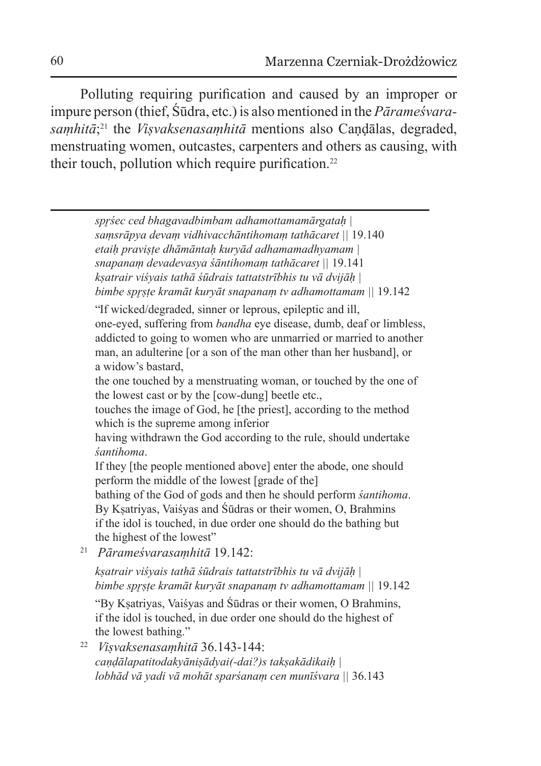Polluting requiring purification and caused by an improper or impure person (thief, Śūdra, etc.) is also mentioned in the *Pārameśvarasaṃhitā*; 21 the *Viṣvaksenasaṃhitā* mentions also Caṇḍālas, degraded, menstruating women, outcastes, carpenters and others as causing, with their touch, pollution which require purification.<sup>22</sup>

*spr̥śec ced bhagavadbimbam adhamottamamārgataḥ | saṃsrāpya devaṃ vidhivacchāntihomaṃ tathācaret ||* 19.140 *etaiḥ praviṣṭe dhāmāntaḥ kuryād adhamamadhyamam | snapanaṃ devadevasya śāntihomaṃ tathācaret ||* 19.141 *kṣatrair viśyais tathā śūdrais tattatstrībhis tu vā dvijāḥ | bimbe spr̥ṣṭe kramāt kuryāt snapanaṃ tv adhamottamam ||* 19.142 "If wicked/degraded, sinner or leprous, epileptic and ill, one-eyed, suffering from *bandha* eye disease, dumb, deaf or limbless, addicted to going to women who are unmarried or married to another man, an adulterine [or a son of the man other than her husband], or a widow's bastard, the one touched by a menstruating woman, or touched by the one of the lowest cast or by the [cow-dung] beetle etc., touches the image of God, he [the priest], according to the method which is the supreme among inferior having withdrawn the God according to the rule, should undertake *śantihoma*. If they [the people mentioned above] enter the abode, one should perform the middle of the lowest [grade of the] bathing of the God of gods and then he should perform *śantihoma*. By Kṣatriyas, Vaiśyas and Śūdras or their women, O, Brahmins if the idol is touched, in due order one should do the bathing but the highest of the lowest" <sup>21</sup> *Pārameśvarasaṃhitā* 19.142: *kṣatrair viśyais tathā śūdrais tattatstrībhis tu vā dvijāḥ | bimbe spr̥ṣṭe kramāt kuryāt snapanaṃ tv adhamottamam ||* 19.142 "By Kṣatriyas, Vaiśyas and Śūdras or their women, O Brahmins, if the idol is touched, in due order one should do the highest of the lowest bathing."

<sup>22</sup> *Viṣvaksenasaṃhitā* 36.143-144: *caṇḍālapatitodakyāniṣādyai(-dai?)s takṣakādikaiḥ | lobhād vā yadi vā mohāt sparśanaṃ cen munīśvara ||* 36.143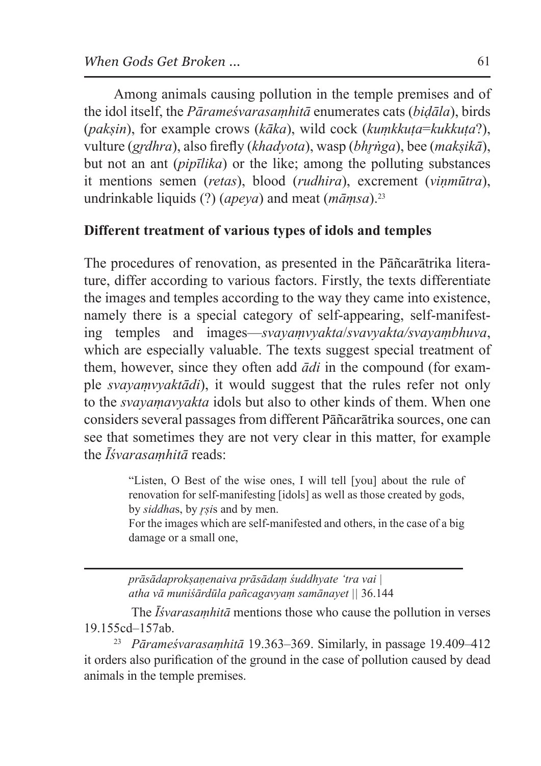Among animals causing pollution in the temple premises and of the idol itself, the *Pārameśvarasaṃhitā* enumerates cats (*biḍāla*), birds (*pakṣin*), for example crows (*kāka*), wild cock (*kuṃkkuṭa*=*kukkuṭa*?), vulture (*gr̥dhra*), also firefly (*khadyota*), wasp (*bhr̥ṅga*), bee (*makṣikā*), but not an ant (*pipīlika*) or the like; among the polluting substances it mentions semen (*retas*), blood (*rudhira*), excrement (*viṇmūtra*), undrinkable liquids (?) (*apeya*) and meat (*māṃsa*).23

## **Different treatment of various types of idols and temples**

The procedures of renovation, as presented in the Pāñcarātrika literature, differ according to various factors. Firstly, the texts differentiate the images and temples according to the way they came into existence, namely there is a special category of self-appearing, self-manifesting temples and images—*svayaṃvyakta*/*svavyakta/svayaṃbhuva*, which are especially valuable. The texts suggest special treatment of them, however, since they often add *ādi* in the compound (for example *svayaṃvyaktādi*), it would suggest that the rules refer not only to the *svayaṃavyakta* idols but also to other kinds of them. When one considers several passages from different Pāñcarātrika sources, one can see that sometimes they are not very clear in this matter, for example the *Īśvarasaṃhitā* reads:

> "Listen, O Best of the wise ones, I will tell [you] about the rule of renovation for self-manifesting [idols] as well as those created by gods, by *siddha*s, by *r̥ṣi*s and by men. For the images which are self-manifested and others, in the case of a big

> damage or a small one,

*prāsādaprokṣaṇenaiva prāsādaṃ śuddhyate 'tra vai | atha vā muniśārdūla pañcagavyaṃ samānayet ||* 36.144

The *Īśvarasaṃhitā* mentions those who cause the pollution in verses 19.155cd–157ab. 23 *Pārameśvarasaṃhitā* 19.363–369. Similarly, in passage 19.409–412

it orders also purification of the ground in the case of pollution caused by dead animals in the temple premises.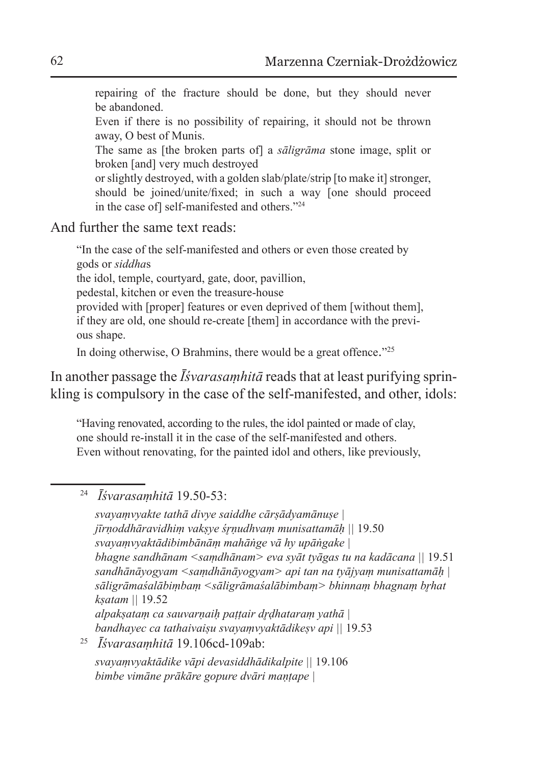repairing of the fracture should be done, but they should never be abandoned.

Even if there is no possibility of repairing, it should not be thrown away, O best of Munis.

The same as [the broken parts of] a *sāligrāma* stone image, split or broken [and] very much destroyed

or slightly destroyed, with a golden slab/plate/strip [to make it] stronger, should be joined/unite/fixed; in such a way [one should proceed in the case of] self-manifested and others."24

And further the same text reads:

"In the case of the self-manifested and others or even those created by gods or *siddha*s the idol, temple, courtyard, gate, door, pavillion, pedestal, kitchen or even the treasure-house provided with [proper] features or even deprived of them [without them], if they are old, one should re-create [them] in accordance with the previous shape. In doing otherwise, O Brahmins, there would be a great offence."<sup>25</sup>

In another passage the *Īśvarasaṃhitā* reads that at least purifying sprin-

kling is compulsory in the case of the self-manifested, and other, idols:

"Having renovated, according to the rules, the idol painted or made of clay, one should re-install it in the case of the self-manifested and others. Even without renovating, for the painted idol and others, like previously,

<sup>24</sup> *Īśvarasaṃhitā* 19.50-53:

*svayaṃvyakte tathā divye saiddhe cārṣādyamānuṣe | jīrṇoddhāravidhiṃ vakṣye śr̥ṇudhvaṃ munisattamāḥ ||* 19.50 *svayaṃvyaktādibimbānāṃ mahāṅge vā hy upāṅgake | bhagne sandhānam <saṃdhānam> eva syāt tyāgas tu na kadācana ||* 19.51 *sandhānāyogyam <saṃdhānāyogyam> api tan na tyājyaṃ munisattamāḥ | sāligrāmaśalābiṃbaṃ <sāligrāmaśalābimbaṃ> bhinnaṃ bhagnaṃ br̥hat kṣatam ||* 19.52 *alpakṣataṃ ca sauvarṇaiḥ paṭṭair dr̥ḍhataraṃ yathā | bandhayec ca tathaivaiṣu svayaṃvyaktādikeṣv api ||* 19.53 <sup>25</sup> *Īśvarasaṃhitā* 19.106cd-109ab: *svayaṃvyaktādike vāpi devasiddhādikalpite ||* 19.106

*bimbe vimāne prākāre gopure dvāri maṇṭape |*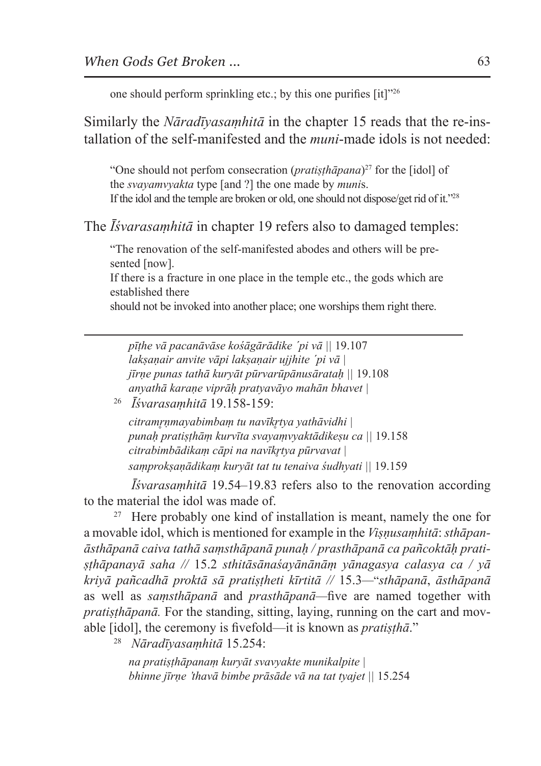one should perform sprinkling etc.; by this one purifies [it]"26

Similarly the *Nāradīyasaṃhitā* in the chapter 15 reads that the re-installation of the self-manifested and the *muni*-made idols is not needed:

"One should not perfom consecration (*pratisthapana*)<sup>27</sup> for the [idol] of the *svayamvyakta* type [and ?] the one made by *muni*s. If the idol and the temple are broken or old, one should not dispose/get rid of it."28

The *Īśvarasaṃhitā* in chapter 19 refers also to damaged temples:

"The renovation of the self-manifested abodes and others will be presented [now].

If there is a fracture in one place in the temple etc., the gods which are established there

should not be invoked into another place; one worships them right there.

*pīṭhe vā pacanāvāse kośāgārādike ´pi vā ||* 19.107 *lakṣaṇair anvite vāpi lakṣaṇair ujjhite ´pi vā | jīrṇe punas tathā kuryāt pūrvarūpānusārataḥ ||* 19.108 *anyathā karaṇe viprāḥ pratyavāyo mahān bhavet |*

<sup>26</sup> *Īśvarasaṃhitā* 19.158-159:

*citramr̥ṇmayabimbaṃ tu navīkr̥tya yathāvidhi | punaḥ pratiṣṭhāṃ kurvīta svayaṃvyaktādikeṣu ca ||* 19.158 *citrabimbādikaṃ cāpi na navīkr̥tya pūrvavat | saṃprokṣaṇādikaṃ kuryāt tat tu tenaiva śudhyati ||* 19.159

*Īśvarasaṃhitā* 19.54–19.83 refers also to the renovation according to the material the idol was made of.

<sup>27</sup> Here probably one kind of installation is meant, namely the one for a movable idol, which is mentioned for example in the *Viṣṇusaṃhitā*: *sthāpanāsthāpanā caiva tathā saṃsthāpanā punaḥ / prasthāpanā ca pañcoktāḥ pratiṣṭhāpanayā saha //* 15.2 *sthitāsānaśayānānāṃ yānagasya calasya ca / yā kriyā pañcadhā proktā sā pratiṣṭheti kīrtitā //* 15.3*—*"*sthāpanā*, *āsthāpanā*  as well as *saṃsthāpanā* and *prasthāpanā—*five are named together with *pratisthāpanā*. For the standing, sitting, laying, running on the cart and movable [idol], the ceremony is fivefold—it is known as *pratiṣṭhā*."

<sup>28</sup> *Nāradīyasaṃhitā* 15.254:

*na pratiṣṭhāpanaṃ kuryāt svavyakte munikalpite | bhinne jīrṇe 'thavā bimbe prāsāde vā na tat tyajet ||* 15.254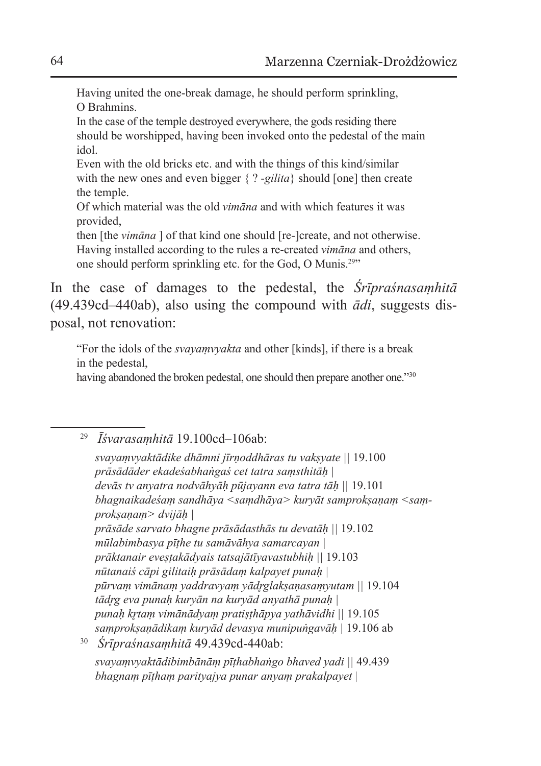Having united the one-break damage, he should perform sprinkling, O Brahmins.

In the case of the temple destroyed everywhere, the gods residing there should be worshipped, having been invoked onto the pedestal of the main idol.

Even with the old bricks etc. and with the things of this kind/similar with the new ones and even bigger { ? -*gilita*} should [one] then create the temple.

Of which material was the old *vimāna* and with which features it was provided,

then [the *vimāna* ] of that kind one should [re-]create, and not otherwise. Having installed according to the rules a re-created *vimāna* and others, one should perform sprinkling etc. for the God, O Munis.29"

In the case of damages to the pedestal, the *Śrīpraśnasaṃhitā*  (49.439cd–440ab), also using the compound with *ādi*, suggests disposal, not renovation:

"For the idols of the *svayaṃvyakta* and other [kinds], if there is a break in the pedestal,

having abandoned the broken pedestal, one should then prepare another one."<sup>30</sup>

<sup>29</sup> *Īśvarasaṃhitā* 19.100cd–106ab:

*svayaṃvyaktādike dhāmni jīrṇoddhāras tu vakṣyate ||* 19.100 *prāsādāder ekadeśabhaṅgaś cet tatra saṃsthitāḥ | devās tv anyatra nodvāhyāḥ pūjayann eva tatra tāḥ ||* 19.101 *bhagnaikadeśaṃ sandhāya <saṃdhāya> kuryāt samprokṣaṇaṃ <saṃprokṣaṇaṃ> dvijāḥ | prāsāde sarvato bhagne prāsādasthās tu devatāḥ ||* 19.102 *mūlabimbasya pīṭhe tu samāvāhya samarcayan | prāktanair eveṣṭakādyais tatsajātīyavastubhiḥ ||* 19.103 *nūtanaiś cāpi gilitaiḥ prāsādaṃ kalpayet punaḥ | pūrvaṃ vimānaṃ yaddravyaṃ yādr̥glakṣaṇasaṃyutam ||* 19.104 *tādr̥g eva punaḥ kuryān na kuryād anyathā punaḥ | punaḥ kr̥taṃ vimānādyaṃ pratiṣṭhāpya yathāvidhi ||* 19.105 *saṃprokṣaṇādikaṃ kuryād devasya munipuṅgavāḥ |* 19.106 ab <sup>30</sup> *Śrīpraśnasaṃhitā* 49.439cd-440ab: *svayaṃvyaktādibimbānāṃ pīṭhabhaṅgo bhaved yadi ||* 49.439

*bhagnaṃ pīṭhaṃ parityajya punar anyaṃ prakalpayet* |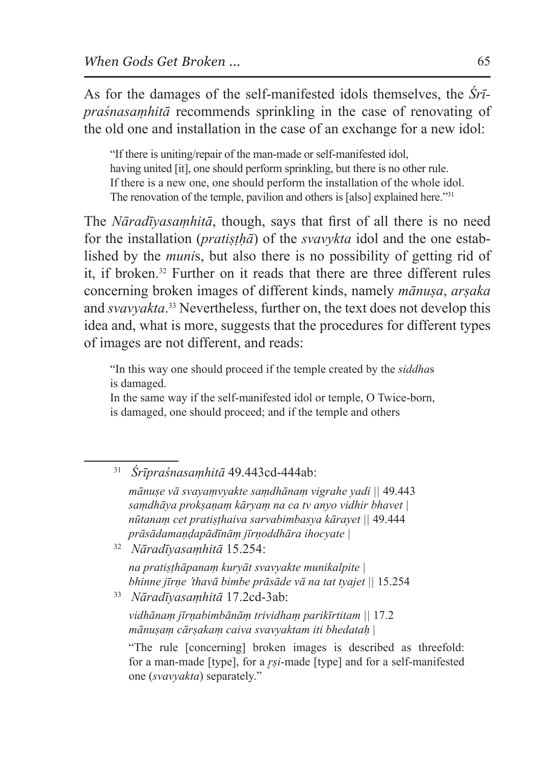As for the damages of the self-manifested idols themselves, the *Śrīpraśnasaṃhitā* recommends sprinkling in the case of renovating of the old one and installation in the case of an exchange for a new idol:

"If there is uniting/repair of the man-made or self-manifested idol, having united [it], one should perform sprinkling, but there is no other rule. If there is a new one, one should perform the installation of the whole idol. The renovation of the temple, pavilion and others is [also] explained here."31

The *Nāradīyasaṃhitā*, though, says that first of all there is no need for the installation (*pratiṣṭḥā*) of the *svavykta* idol and the one established by the *muni*s, but also there is no possibility of getting rid of it, if broken.32 Further on it reads that there are three different rules concerning broken images of different kinds, namely *mānuṣa*, *arṣaka* and *svavyakta*. 33 Nevertheless, further on, the text does not develop this idea and, what is more, suggests that the procedures for different types of images are not different, and reads:

"In this way one should proceed if the temple created by the *siddha*s is damaged.

In the same way if the self-manifested idol or temple, O Twice-born, is damaged, one should proceed; and if the temple and others

<sup>31</sup> *Śrīpraśnasaṃhitā* 49.443cd-444ab:

*mānuṣe vā svayaṃvyakte saṃdhānaṃ vigrahe yadi ||* 49.443 *saṃdhāya prokṣaṇaṃ kāryaṃ na ca tv anyo vidhir bhavet | nūtanaṃ cet pratiṣṭhaiva sarvabimbasya kārayet ||* 49.444 *prāsādamaṇḍapādīnāṃ jīrṇoddhāra ihocyate |*

<sup>32</sup> *Nāradīyasaṃhitā* 15.254:

*na pratiṣṭhāpanaṃ kuryāt svavyakte munikalpite | bhinne jīrṇe 'thavā bimbe prāsāde vā na tat tyajet ||* 15.254

<sup>33</sup> *Nāradīyasaṃhitā* 17.2cd-3ab:

*vidhānaṃ jīrṇabimbānāṃ trividhaṃ parikīrtitam ||* 17.2 *mānuṣaṃ cārṣakaṃ caiva svavyaktam iti bhedataḥ* |

"The rule [concerning] broken images is described as threefold: for a man-made [type], for a *r̥ṣi*-made [type] and for a self-manifested one (*svavyakta*) separately."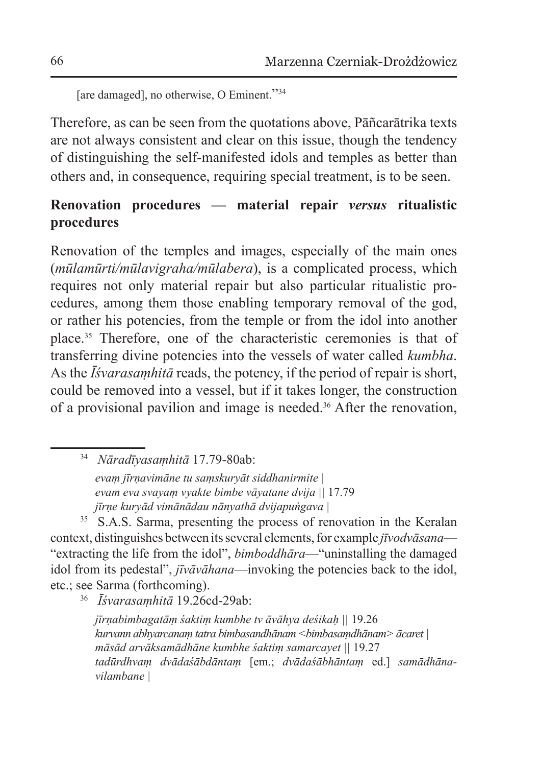[are damaged], no otherwise, O Eminent."<sup>34</sup>

Therefore, as can be seen from the quotations above, Pāñcarātrika texts are not always consistent and clear on this issue, though the tendency of distinguishing the self-manifested idols and temples as better than others and, in consequence, requiring special treatment, is to be seen.

# **Renovation procedures — material repair** *versus* **ritualistic procedures**

Renovation of the temples and images, especially of the main ones (*mūlamūrti/mūlavigraha/mūlabera*), is a complicated process, which requires not only material repair but also particular ritualistic procedures, among them those enabling temporary removal of the god, or rather his potencies, from the temple or from the idol into another place.35 Therefore, one of the characteristic ceremonies is that of transferring divine potencies into the vessels of water called *kumbha*. As the *Īśvarasaṃhitā* reads, the potency, if the period of repair is short, could be removed into a vessel, but if it takes longer, the construction of a provisional pavilion and image is needed.36 After the renovation,

<sup>34</sup> *Nāradīyasaṃhitā* 17.79-80ab:

*evaṃ jīrṇavimāne tu saṃskuryāt siddhanirmite | evam eva svayaṃ vyakte bimbe vāyatane dvija ||* 17.79 *jīrṇe kuryād vimānādau nānyathā dvijapuṅgava |*

<sup>35</sup> S.A.S. Sarma, presenting the process of renovation in the Keralan context, distinguishes between its several elements, for example *jīvodvāsana*— "extracting the life from the idol", *bimboddhāra*—"uninstalling the damaged idol from its pedestal", *jīvāvāhana*—invoking the potencies back to the idol, etc.; see Sarma (forthcoming).

<sup>36</sup> *Īśvarasaṃhitā* 19.26cd-29ab:

*jīrṇabimbagatāṃ śaktiṃ kumbhe tv āvāhya deśikaḥ ||* 19.26 *kurvann abhyarcanaṃ tatra bimbasandhānam <bimbasaṃdhānam> ācaret | māsād arvāksamādhāne kumbhe śaktiṃ samarcayet ||* 19.27 *tadūrdhvaṃ dvādaśābdāntaṃ* [em.; *dvādaśābhāntaṃ* ed.] *samādhānavilambane |*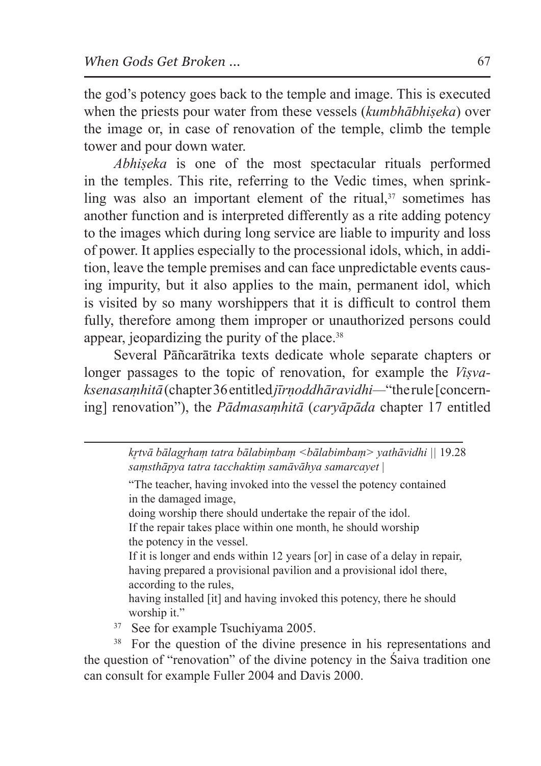the god's potency goes back to the temple and image. This is executed when the priests pour water from these vessels (*kumbhābhiṣeka*) over the image or, in case of renovation of the temple, climb the temple tower and pour down water.

*Abhiṣeka* is one of the most spectacular rituals performed in the temples. This rite, referring to the Vedic times, when sprinkling was also an important element of the ritual, $37$  sometimes has another function and is interpreted differently as a rite adding potency to the images which during long service are liable to impurity and loss of power. It applies especially to the processional idols, which, in addition, leave the temple premises and can face unpredictable events causing impurity, but it also applies to the main, permanent idol, which is visited by so many worshippers that it is difficult to control them fully, therefore among them improper or unauthorized persons could appear, jeopardizing the purity of the place.<sup>38</sup>

Several Pāñcarātrika texts dedicate whole separate chapters or longer passages to the topic of renovation, for example the *Viṣvaksenasaṃhitā* (chapter 36 entitled *jīrṇoddhāravidhi—*"therule [concerning] renovation"), the *Pādmasaṃhitā* (*caryāpāda* chapter 17 entitled

> *kr̥tvā bālagr̥haṃ tatra bālabiṃbaṃ <bālabimbaṃ> yathāvidhi ||* 19.28 *saṃsthāpya tatra tacchaktiṃ samāvāhya samarcayet* |

"The teacher, having invoked into the vessel the potency contained in the damaged image,

doing worship there should undertake the repair of the idol.

If the repair takes place within one month, he should worship the potency in the vessel.

If it is longer and ends within 12 years [or] in case of a delay in repair, having prepared a provisional pavilion and a provisional idol there, according to the rules,

having installed [it] and having invoked this potency, there he should worship it."

<sup>37</sup> See for example Tsuchiyama 2005.

<sup>38</sup> For the question of the divine presence in his representations and the question of "renovation" of the divine potency in the Śaiva tradition one can consult for example Fuller 2004 and Davis 2000.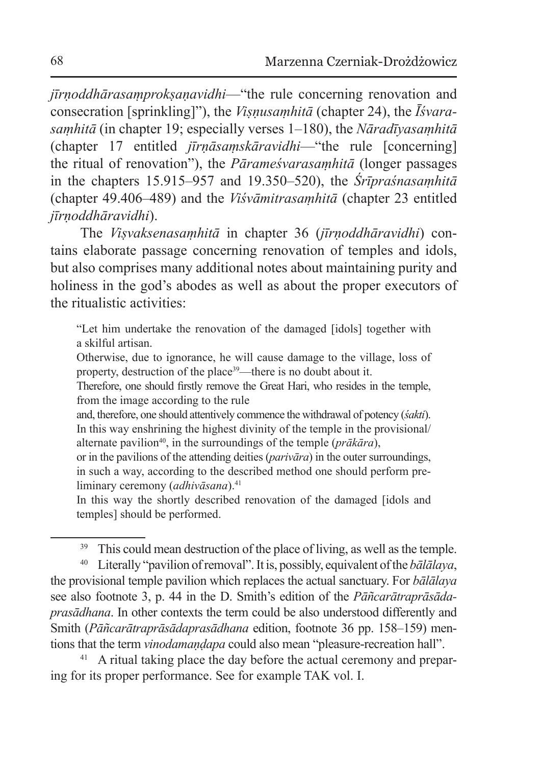*jīrṇoddhārasaṃprokṣaṇavidhi*—"the rule concerning renovation and consecration [sprinkling]"), the *Viṣṇusaṃhitā* (chapter 24), the *Īśvarasaṃhitā* (in chapter 19; especially verses 1–180), the *Nāradīyasaṃhitā* (chapter 17 entitled *jīrṇāsaṃskāravidhi*—"the rule [concerning] the ritual of renovation"), the *Pārameśvarasaṃhitā* (longer passages in the chapters 15.915–957 and 19.350–520), the *Śrīpraśnasaṃhitā* (chapter 49.406–489) and the *Viśvāmitrasaṃhitā* (chapter 23 entitled *jīrṇoddhāravidhi*).

The *Viṣvaksenasaṃhitā* in chapter 36 (*jīrṇoddhāravidhi*) contains elaborate passage concerning renovation of temples and idols, but also comprises many additional notes about maintaining purity and holiness in the god's abodes as well as about the proper executors of the ritualistic activities:

"Let him undertake the renovation of the damaged [idols] together with a skilful artisan.

Otherwise, due to ignorance, he will cause damage to the village, loss of property, destruction of the place<sup>39</sup>—there is no doubt about it.

Therefore, one should firstly remove the Great Hari, who resides in the temple, from the image according to the rule

and, therefore, one should attentively commence the withdrawal of potency (*śakti*). In this way enshrining the highest divinity of the temple in the provisional/ alternate pavilion<sup>40</sup>, in the surroundings of the temple (*prākāra*),

or in the pavilions of the attending deities (*parivāra*) in the outer surroundings, in such a way, according to the described method one should perform preliminary ceremony (*adhivāsana*).<sup>41</sup>

In this way the shortly described renovation of the damaged [idols and temples] should be performed.

<sup>39</sup> This could mean destruction of the place of living, as well as the temple.

<sup>40</sup> Literally "pavilion of removal". It is, possibly, equivalent of the *bālālaya*, the provisional temple pavilion which replaces the actual sanctuary. For *bālālaya* see also footnote 3, p. 44 in the D. Smith's edition of the *Pāñcarātraprāsādaprasādhana*. In other contexts the term could be also understood differently and Smith (*Pāñcarātraprāsādaprasādhana* edition, footnote 36 pp. 158–159) mentions that the term *vinodamaṇḍapa* could also mean "pleasure-recreation hall".<br><sup>41</sup> A ritual taking place the day before the actual ceremony and prepar-

ing for its proper performance. See for example TAK vol. I.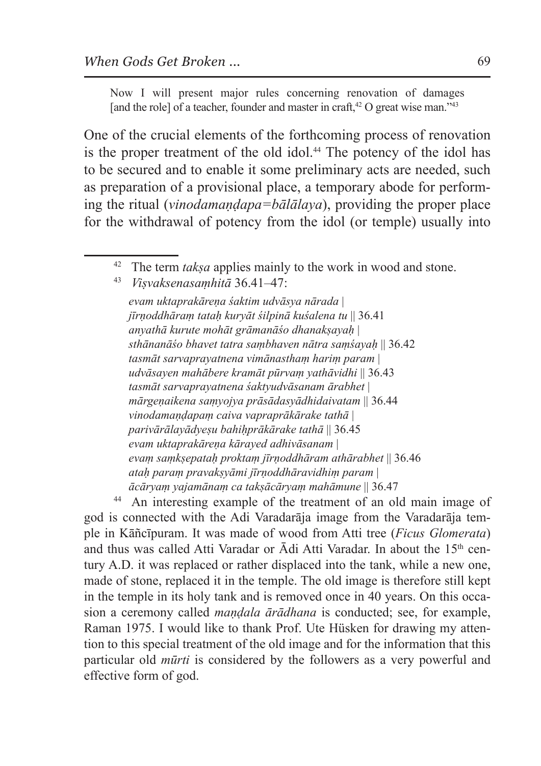Now I will present major rules concerning renovation of damages [and the role] of a teacher, founder and master in craft, $42$  O great wise man." $43$ 

One of the crucial elements of the forthcoming process of renovation is the proper treatment of the old idol.<sup>44</sup> The potency of the idol has to be secured and to enable it some preliminary acts are needed, such as preparation of a provisional place, a temporary abode for performing the ritual (*vinodamaṇḍapa=bālālaya*), providing the proper place for the withdrawal of potency from the idol (or temple) usually into

*evam uktaprakāreṇa śaktim udvāsya nārada* | *jīrṇoddhāraṃ tataḥ kuryāt śilpinā kuśalena tu* || 36.41 *anyathā kurute mohāt grāmanāśo dhanakṣayaḥ* | *sthānanāśo bhavet tatra saṃbhaven nātra saṃśayaḥ* || 36.42 *tasmāt sarvaprayatnena vimānasthaṃ hariṃ param* | *udvāsayen mahābere kramāt pūrvaṃ yathāvidhi* || 36.43 *tasmāt sarvaprayatnena śaktyudvāsanam ārabhet* | *mārgeṇaikena saṃyojya prāsādasyādhidaivatam* || 36.44 *vinodamaṇḍapaṃ caiva vapraprākārake tathā* | *parivārālayādyeṣu bahiḥprākārake tathā* || 36.45 *evam uktaprakāreṇa kārayed adhivāsanam* | *evaṃ saṃkṣepataḥ proktaṃ jīrṇoddhāram athārabhet* || 36.46 *ataḥ paraṃ pravakṣyāmi jīrṇoddhāravidhiṃ param* | *ācāryaṃ yajamānaṃ ca takṣācāryaṃ mahāmune* || 36.47

<sup>44</sup> An interesting example of the treatment of an old main image of god is connected with the Adi Varadarāja image from the Varadarāja temple in Kāñcīpuram. It was made of wood from Atti tree (*Ficus Glomerata*) and thus was called Atti Varadar or  $\bar{A}$ di Atti Varadar. In about the 15<sup>th</sup> century A.D. it was replaced or rather displaced into the tank, while a new one, made of stone, replaced it in the temple. The old image is therefore still kept in the temple in its holy tank and is removed once in 40 years. On this occasion a ceremony called *maṇḍala ārādhana* is conducted; see, for example, Raman 1975. I would like to thank Prof. Ute Hüsken for drawing my attention to this special treatment of the old image and for the information that this particular old *mūrti* is considered by the followers as a very powerful and effective form of god.

<sup>&</sup>lt;sup>42</sup> The term *taksa* applies mainly to the work in wood and stone.

<sup>43</sup> *Viṣvaksenasaṃhitā* 36.41–47: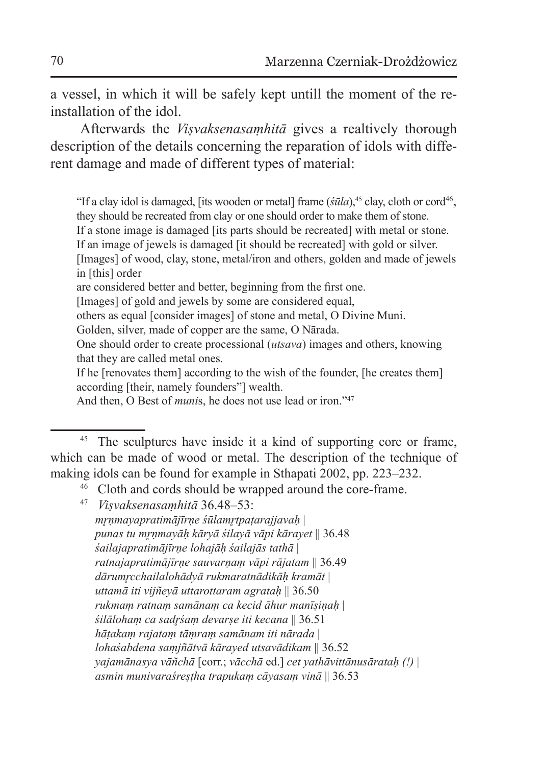a vessel, in which it will be safely kept untill the moment of the reinstallation of the idol.

Afterwards the *Viṣvaksenasaṃhitā* gives a realtively thorough description of the details concerning the reparation of idols with different damage and made of different types of material:

"If a clay idol is damaged, [its wooden or metal] frame  $(\sin a)$ ,<sup>45</sup> clay, cloth or cord<sup>46</sup>, they should be recreated from clay or one should order to make them of stone.

If a stone image is damaged [its parts should be recreated] with metal or stone.

If an image of jewels is damaged [it should be recreated] with gold or silver.

[Images] of wood, clay, stone, metal/iron and others, golden and made of jewels in [this] order

are considered better and better, beginning from the first one.

[Images] of gold and jewels by some are considered equal,

others as equal [consider images] of stone and metal, O Divine Muni.

Golden, silver, made of copper are the same, O Nārada.

One should order to create processional (*utsava*) images and others, knowing that they are called metal ones.

If he [renovates them] according to the wish of the founder, [he creates them] according [their, namely founders"] wealth.

And then, O Best of *munis*, he does not use lead or iron."<sup>47</sup>

<sup>46</sup> Cloth and cords should be wrapped around the core-frame. 47 *Viṣvaksenasaṃhitā* 36.48–53:

*mr̥ṇmayapratimājīrṇe śūlamr̥tpaṭarajjavaḥ* | *punas tu mr̥ṇmayāḥ kāryā śilayā vāpi kārayet* || 36.48 *śailajapratimājīrṇe lohajāḥ śailajās tathā* | *ratnajapratimājīrṇe sauvarṇaṃ vāpi rājatam* || 36.49 *dārumr̥cchailalohādyā rukmaratnādikāḥ kramāt* | *uttamā iti vijñeyā uttarottaram agrataḥ* || 36.50 *rukmaṃ ratnaṃ samānaṃ ca kecid āhur manīṣiṇaḥ* | *śilālohaṃ ca sadr̥śaṃ devarṣe iti kecana* || 36.51 *hāṭakaṃ rajataṃ tāṃraṃ samānam iti nārada* | *lohaśabdena saṃjñātvā kārayed utsavādikam* || 36.52 *yajamānasya vāñchā* [corr.; *vācchā* ed.] *cet yathāvittānusārataḥ (!)* | *asmin munivaraśreṣṭha trapukaṃ cāyasaṃ vinā* || 36.53

<sup>&</sup>lt;sup>45</sup> The sculptures have inside it a kind of supporting core or frame, which can be made of wood or metal. The description of the technique of making idols can be found for example in Sthapati 2002, pp. 223–232.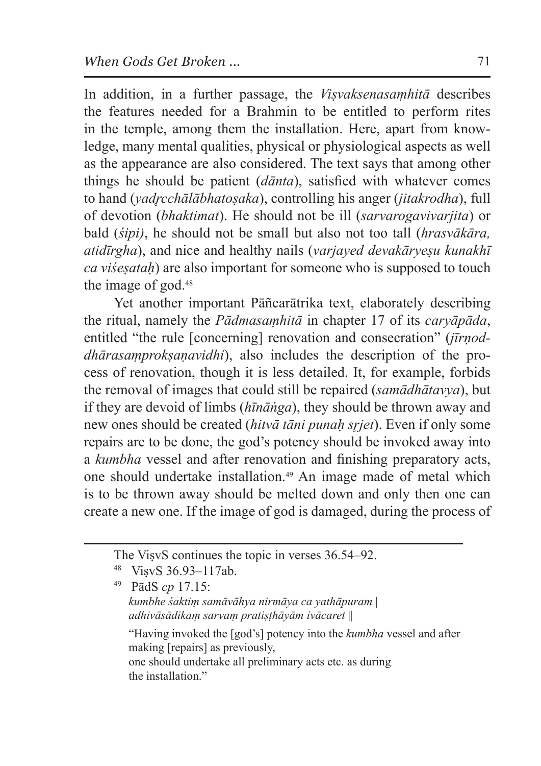In addition, in a further passage, the *Viṣvaksenasaṃhitā* describes the features needed for a Brahmin to be entitled to perform rites in the temple, among them the installation. Here, apart from knowledge, many mental qualities, physical or physiological aspects as well as the appearance are also considered. The text says that among other things he should be patient (*dānta*), satisfied with whatever comes to hand (*yadr̥cchālābhatoṣaka*), controlling his anger (*jitakrodha*), full of devotion (*bhaktimat*). He should not be ill (*sarvarogavivarjita*) or bald (*śipi)*, he should not be small but also not too tall (*hrasvākāra, atidīrgha*), and nice and healthy nails (*varjayed devakāryeṣu kunakhī ca viśeṣataḥ*) are also important for someone who is supposed to touch the image of god.48

Yet another important Pāñcarātrika text, elaborately describing the ritual, namely the *Pādmasaṃhitā* in chapter 17 of its *caryāpāda*, entitled "the rule [concerning] renovation and consecration" (*jīrṇoddhārasaṃprokṣaṇavidhi*), also includes the description of the process of renovation, though it is less detailed. It, for example, forbids the removal of images that could still be repaired (*samādhātavya*), but if they are devoid of limbs (*hīnāṅga*), they should be thrown away and new ones should be created (*hitvā tāni punaḥ sr̥jet*). Even if only some repairs are to be done, the god's potency should be invoked away into a *kumbha* vessel and after renovation and finishing preparatory acts, one should undertake installation.49 An image made of metal which is to be thrown away should be melted down and only then one can create a new one. If the image of god is damaged, during the process of

<sup>49</sup> PādS *cp* 17.15: *kumbhe śaktiṃ samāvāhya nirmāya ca yathāpuram* | *adhivāsādikaṃ sarvaṃ pratiṣṭhāyām ivācaret* || "Having invoked the [god's] potency into the *kumbha* vessel and after making [repairs] as previously, one should undertake all preliminary acts etc. as during the installation."

The ViṣvS continues the topic in verses 36.54–92.

VisvS 36.93-117ab.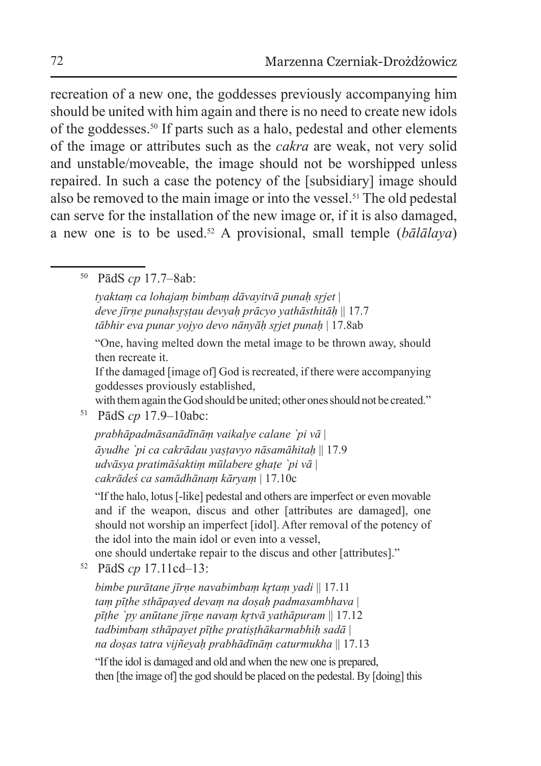recreation of a new one, the goddesses previously accompanying him should be united with him again and there is no need to create new idols of the goddesses.50 If parts such as a halo, pedestal and other elements of the image or attributes such as the *cakra* are weak, not very solid and unstable/moveable, the image should not be worshipped unless repaired. In such a case the potency of the [subsidiary] image should also be removed to the main image or into the vessel.51 The old pedestal can serve for the installation of the new image or, if it is also damaged, a new one is to be used.52 A provisional, small temple (*bālālaya*)

<sup>50</sup> PādS *cp* 17.7–8ab:

*tyaktaṃ ca lohajaṃ bimbaṃ dāvayitvā punaḥ sr̥jet* | *deve jīrṇe punaḥsr̥ṣṭau devyaḥ prācyo yathāsthitāḥ* || 17.7 *tābhir eva punar yojyo devo nānyāḥ sr̥jet punaḥ* | 17.8ab

"One, having melted down the metal image to be thrown away, should then recreate it.

If the damaged [image of] God is recreated, if there were accompanying goddesses proviously established,

with them again the God should be united; other ones should not be created."

<sup>51</sup> PādS *cp* 17.9–10abc:

*prabhāpadmāsanādīnāṃ vaikalye calane `pi vā* | *āyudhe `pi ca cakrādau yaṣṭavyo nāsamāhitaḥ* || 17.9 *udvāsya pratimāśaktiṃ mūlabere ghaṭe `pi vā* | *cakrādeś ca samādhānaṃ kāryaṃ* | 17.10c

"If the halo, lotus [-like] pedestal and others are imperfect or even movable and if the weapon, discus and other [attributes are damaged], one should not worship an imperfect [idol]. After removal of the potency of the idol into the main idol or even into a vessel,

one should undertake repair to the discus and other [attributes]."

<sup>52</sup> PādS *cp* 17.11cd–13:

*bimbe purātane jīrṇe navabimbaṃ kr̥taṃ yadi* || 17.11 *taṃ pīṭhe sthāpayed devaṃ na doṣaḥ padmasambhava* | *pīṭhe `py anūtane jīrṇe navaṃ kr̥tvā yathāpuram* || 17.12 *tadbimbaṃ sthāpayet pīṭhe pratiṣṭhākarmabhiḥ sadā* | *na doṣas tatra vijñeyaḥ prabhādīnāṃ caturmukha* || 17.13

"If the idol is damaged and old and when the new one is prepared, then [the image of] the god should be placed on the pedestal. By [doing] this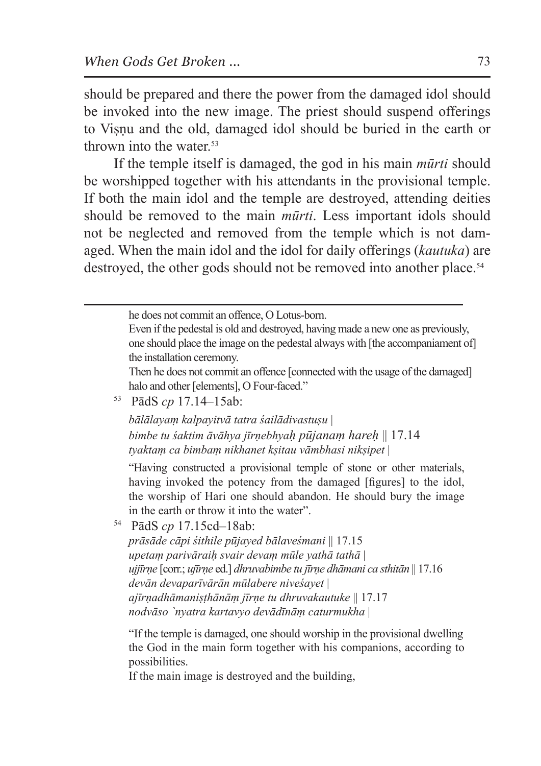should be prepared and there the power from the damaged idol should be invoked into the new image. The priest should suspend offerings to Viṣṇu and the old, damaged idol should be buried in the earth or thrown into the water.<sup>53</sup>

If the temple itself is damaged, the god in his main *mūrti* should be worshipped together with his attendants in the provisional temple. If both the main idol and the temple are destroyed, attending deities should be removed to the main *mūrti*. Less important idols should not be neglected and removed from the temple which is not damaged. When the main idol and the idol for daily offerings (*kautuka*) are destroyed, the other gods should not be removed into another place.<sup>54</sup>

```
he does not commit an offence, O Lotus-born.
```
Even if the pedestal is old and destroyed, having made a new one as previously, one should place the image on the pedestal always with [the accompaniament of] the installation ceremony.

Then he does not commit an offence [connected with the usage of the damaged] halo and other [elements], O Four-faced."

<sup>53</sup> PādS *cp* 17.14–15ab:

*bālālayaṃ kalpayitvā tatra śailādivastuṣu* | *bimbe tu śaktim āvāhya jīrṇebhyaḥ pūjanaṃ hareḥ* || 17.14 *tyaktaṃ ca bimbaṃ nikhanet kṣitau vāmbhasi nikṣipet* |

"Having constructed a provisional temple of stone or other materials, having invoked the potency from the damaged [figures] to the idol, the worship of Hari one should abandon. He should bury the image in the earth or throw it into the water".

<sup>54</sup> PādS *cp* 17.15cd–18ab:

*prāsāde cāpi śithile pūjayed bālaveśmani* || 17.15 *upetaṃ parivāraiḥ svair devaṃ mūle yathā tathā* | *ujjīrṇe* [corr.; *ujīrṇe* ed.] *dhruvabimbe tu jīrṇe dhāmani ca sthitān* || 17.16 *devān devaparīvārān mūlabere niveśayet* | *ajīrṇadhāmaniṣṭhānāṃ jīrṇe tu dhruvakautuke* || 17.17 *nodvāso `nyatra kartavyo devādīnāṃ caturmukha* |

"If the temple is damaged, one should worship in the provisional dwelling the God in the main form together with his companions, according to possibilities.

If the main image is destroyed and the building,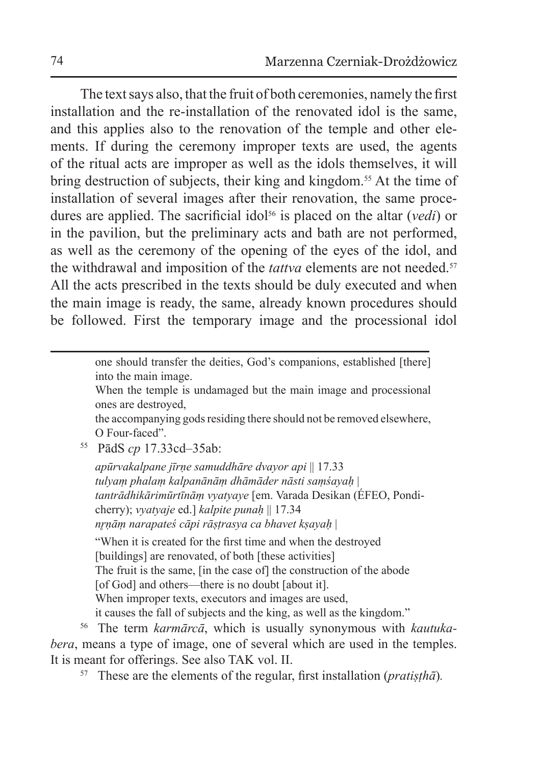The text says also, that the fruit of both ceremonies, namely the first installation and the re-installation of the renovated idol is the same, and this applies also to the renovation of the temple and other elements. If during the ceremony improper texts are used, the agents of the ritual acts are improper as well as the idols themselves, it will bring destruction of subjects, their king and kingdom.<sup>55</sup> At the time of installation of several images after their renovation, the same procedures are applied. The sacrificial idol<sup>56</sup> is placed on the altar (*vedi*) or in the pavilion, but the preliminary acts and bath are not performed, as well as the ceremony of the opening of the eyes of the idol, and the withdrawal and imposition of the *tattva* elements are not needed.<sup>57</sup> All the acts prescribed in the texts should be duly executed and when the main image is ready, the same, already known procedures should be followed. First the temporary image and the processional idol

> one should transfer the deities, God's companions, established [there] into the main image.

> When the temple is undamaged but the main image and processional ones are destroyed,

> the accompanying gods residing there should not be removed elsewhere, O Four-faced".

<sup>55</sup> PādS *cp* 17.33cd–35ab:

*apūrvakalpane jīrṇe samuddhāre dvayor api* || 17.33 *tulyaṃ phalaṃ kalpanānāṃ dhāmāder nāsti saṃśayaḥ* | *tantrādhikārimūrtīnāṃ vyatyaye* [em. Varada Desikan (ÉFEO, Pondicherry); *vyatyaje* ed.] *kalpite punaḥ* || 17.34 *nr̥ṇāṃ narapateś cāpi rāṣṭrasya ca bhavet kṣayaḥ* |

"When it is created for the first time and when the destroyed [buildings] are renovated, of both [these activities] The fruit is the same, [in the case of] the construction of the abode [of God] and others—there is no doubt [about it]. When improper texts, executors and images are used, it causes the fall of subjects and the king, as well as the kingdom."

<sup>56</sup> The term *karmārcā*, which is usually synonymous with *kautukabera*, means a type of image, one of several which are used in the temples. It is meant for offerings. See also TAK vol. II.

<sup>57</sup> These are the elements of the regular, first installation (*pratiṣṭhā*)*.*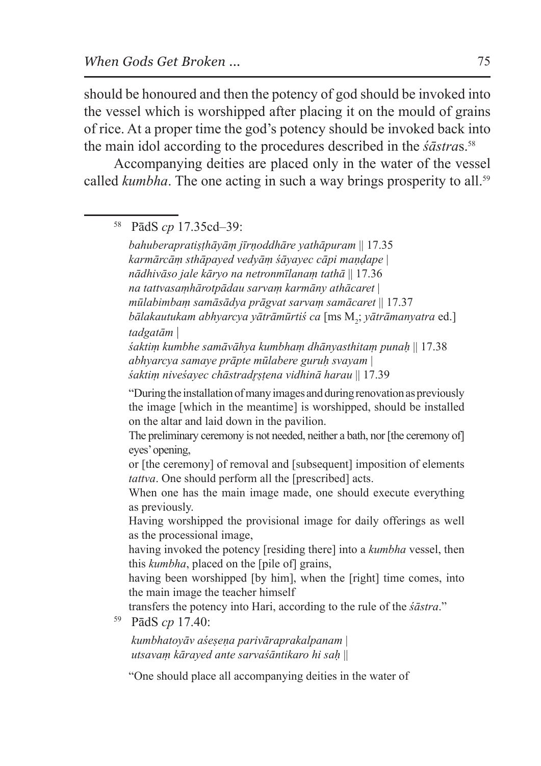should be honoured and then the potency of god should be invoked into the vessel which is worshipped after placing it on the mould of grains of rice. At a proper time the god's potency should be invoked back into the main idol according to the procedures described in the *śāstra*s.58

Accompanying deities are placed only in the water of the vessel called *kumbha*. The one acting in such a way brings prosperity to all.<sup>59</sup>

<sup>58</sup> PādS *cp* 17.35cd–39:

*bahuberapratiṣṭhāyāṃ jīrṇoddhāre yathāpuram* || 17.35 *karmārcāṃ sthāpayed vedyāṃ śāyayec cāpi maṇḍape* | *nādhivāso jale kāryo na netronmīlanaṃ tathā* || 17.36 *na tattvasaṃhārotpādau sarvaṃ karmāny athācaret* | *mūlabimbaṃ samāsādya prāgvat sarvaṃ samācaret* || 17.37  $b$ ālakautukam abhyarcya yātrāmūrtiś ca [ms M<sub>2</sub>; yātrāmanyatra ed.] *tadgatām* | *śaktiṃ kumbhe samāvāhya kumbhaṃ dhānyasthitaṃ punaḥ* || 17.38 *abhyarcya samaye prāpte mūlabere guruḥ svayam* | *śaktiṃ niveśayec chāstradr̥ṣṭena vidhinā harau* || 17.39 "During the installation of many images and during renovation as previously

the image [which in the meantime] is worshipped, should be installed on the altar and laid down in the pavilion.

The preliminary ceremony is not needed, neither a bath, nor [the ceremony of] eyes' opening,

or [the ceremony] of removal and [subsequent] imposition of elements *tattva*. One should perform all the [prescribed] acts.

When one has the main image made, one should execute everything as previously.

Having worshipped the provisional image for daily offerings as well as the processional image,

having invoked the potency [residing there] into a *kumbha* vessel, then this *kumbha*, placed on the [pile of] grains,

having been worshipped [by him], when the [right] time comes, into the main image the teacher himself

transfers the potency into Hari, according to the rule of the *śāstra*." 59 PādS *cp* 17.40:

*kumbhatoyāv aśeṣeṇa parivāraprakalpanam* | *utsavaṃ kārayed ante sarvaśāntikaro hi saḥ* ||

"One should place all accompanying deities in the water of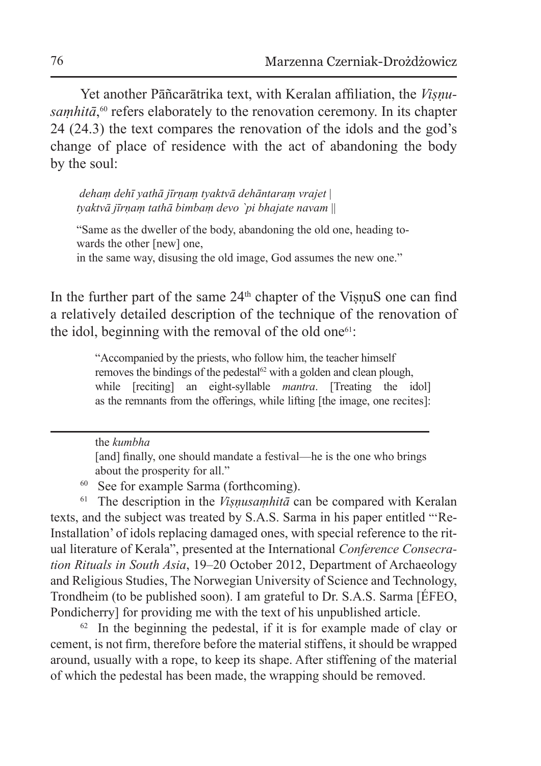Yet another Pāñcarātrika text, with Keralan affiliation, the *Visnusaṃhitā*, 60 refers elaborately to the renovation ceremony. In its chapter 24 (24.3) the text compares the renovation of the idols and the god's change of place of residence with the act of abandoning the body by the soul:

 *dehaṃ dehī yathā jīrṇaṃ tyaktvā dehāntaraṃ vrajet* | *tyaktvā jīrṇaṃ tathā bimbaṃ devo `pi bhajate navam* ||

"Same as the dweller of the body, abandoning the old one, heading towards the other [new] one,

in the same way, disusing the old image, God assumes the new one."

In the further part of the same  $24<sup>th</sup>$  chapter of the VisnuS one can find a relatively detailed description of the technique of the renovation of the idol, beginning with the removal of the old one<sup>61</sup>:

> "Accompanied by the priests, who follow him, the teacher himself removes the bindings of the pedestal $62$  with a golden and clean plough, while [reciting] an eight-syllable *mantra*. [Treating the idol] as the remnants from the offerings, while lifting [the image, one recites]:

the *kumbha*

<sup>60</sup> See for example Sarma (forthcoming).

<sup>61</sup> The description in the *Viṣṇusaṃhitā* can be compared with Keralan texts, and the subject was treated by S.A.S. Sarma in his paper entitled "'Re-Installation' of idols replacing damaged ones, with special reference to the ritual literature of Kerala", presented at the International *Conference Consecration Rituals in South Asia*, 19–20 October 2012, Department of Archaeology and Religious Studies, The Norwegian University of Science and Technology, Trondheim (to be published soon). I am grateful to Dr. S.A.S. Sarma [ÉFEO, Pondicherry] for providing me with the text of his unpublished article.

 $62$  In the beginning the pedestal, if it is for example made of clay or cement, is not firm, therefore before the material stiffens, it should be wrapped around, usually with a rope, to keep its shape. After stiffening of the material of which the pedestal has been made, the wrapping should be removed.

<sup>[</sup>and] finally, one should mandate a festival—he is the one who brings about the prosperity for all."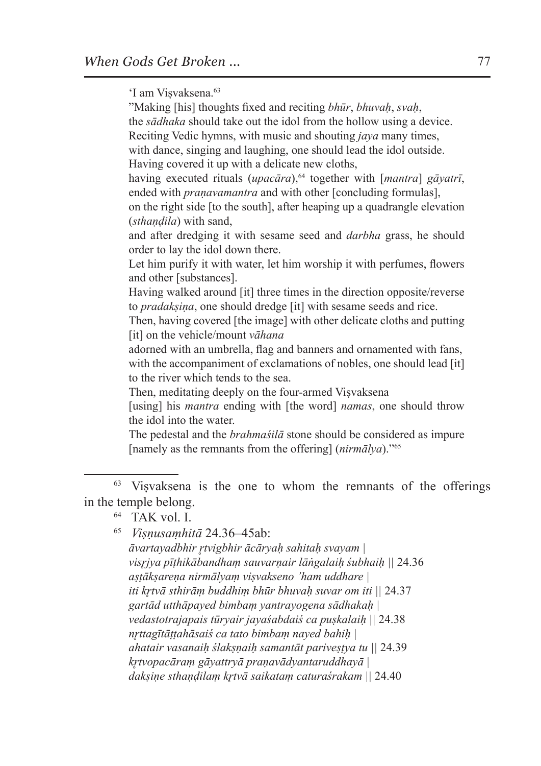'I am Viṣvaksena.63

"Making [his] thoughts fixed and reciting *bhūr*, *bhuvaḥ*, *svaḥ*,

the *sādhaka* should take out the idol from the hollow using a device. Reciting Vedic hymns, with music and shouting *jaya* many times, with dance, singing and laughing, one should lead the idol outside. Having covered it up with a delicate new cloths, having executed rituals (*upacāra*),<sup>64</sup> together with [*mantra*] *gāyatrī*, ended with *pranavamantra* and with other [concluding formulas], on the right side [to the south], after heaping up a quadrangle elevation (*sthaṇḍila*) with sand, and after dredging it with sesame seed and *darbha* grass, he should order to lay the idol down there. Let him purify it with water, let him worship it with perfumes, flowers and other [substances]. Having walked around [it] three times in the direction opposite/reverse to *pradakṣiṇa*, one should dredge [it] with sesame seeds and rice. Then, having covered [the image] with other delicate cloths and putting [it] on the vehicle/mount *vāhana* adorned with an umbrella, flag and banners and ornamented with fans, with the accompaniment of exclamations of nobles, one should lead [it] to the river which tends to the sea. Then, meditating deeply on the four-armed Viṣvaksena [using] his *mantra* ending with [the word] *namas*, one should throw the idol into the water. The pedestal and the *brahmaśilā* stone should be considered as impure [namely as the remnants from the offering] (*nirmālya*)."65

<sup>63</sup> Viṣvaksena is the one to whom the remnants of the offerings in the temple belong.

<sup>65</sup> *Viṣṇusaṃhitā* 24.36–45ab: *āvartayadbhir r̥tvigbhir ācāryaḥ sahitaḥ svayam | visr̥jya pīṭhikābandhaṃ sauvarṇair lāṅgalaiḥ śubhaiḥ ||* 24.36 *aṣṭākṣareṇa nirmālyaṃ viṣvakseno 'ham uddhare | iti kr̥tvā sthirāṃ buddhiṃ bhūr bhuvaḥ suvar om iti ||* 24.37 *gartād utthāpayed bimbaṃ yantrayogena sādhakaḥ | vedastotrajapais tūryair jayaśabdaiś ca puṣkalaiḥ ||* 24.38 *nr̥ttagītāṭṭahāsaiś ca tato bimbaṃ nayed bahiḥ | ahatair vasanaiḥ ślakṣṇaiḥ samantāt pariveṣṭya tu ||* 24.39 *kr̥tvopacāraṃ gāyattryā praṇavādyantaruddhayā | dakṣiṇe sthaṇḍilaṃ kr̥tvā saikataṃ caturaśrakam ||* 24.40

<sup>64</sup> TAK vol. I.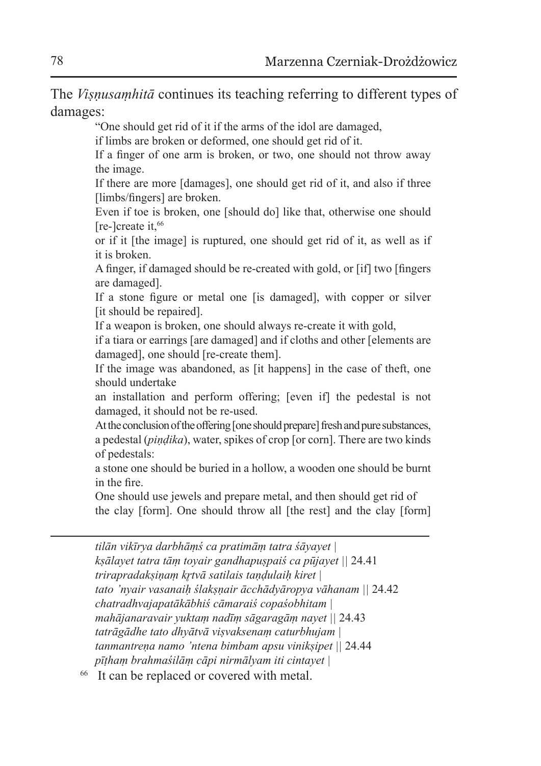The *Viṣṇusaṃhitā* continues its teaching referring to different types of damages:

"One should get rid of it if the arms of the idol are damaged,

if limbs are broken or deformed, one should get rid of it.

If a finger of one arm is broken, or two, one should not throw away the image.

If there are more [damages], one should get rid of it, and also if three [limbs/fingers] are broken.

Even if toe is broken, one [should do] like that, otherwise one should [re-]create it,66

or if it [the image] is ruptured, one should get rid of it, as well as if it is broken.

A finger, if damaged should be re-created with gold, or [if] two [fingers are damaged].

If a stone figure or metal one [is damaged], with copper or silver [it should be repaired].

If a weapon is broken, one should always re-create it with gold,

if a tiara or earrings [are damaged] and if cloths and other [elements are damaged], one should [re-create them].

If the image was abandoned, as [it happens] in the case of theft, one should undertake

an installation and perform offering; [even if] the pedestal is not damaged, it should not be re-used.

At the conclusion of the offering [one should prepare] fresh and pure substances, a pedestal (*piṇḍika*), water, spikes of crop [or corn]. There are two kinds of pedestals:

a stone one should be buried in a hollow, a wooden one should be burnt in the fire.

One should use jewels and prepare metal, and then should get rid of the clay [form]. One should throw all [the rest] and the clay [form]

*tilān vikīrya darbhāṃś ca pratimāṃ tatra śāyayet | kṣālayet tatra tāṃ toyair gandhapuṣpaiś ca pūjayet ||* 24.41 *trirapradakṣiṇaṃ kr̥tvā satilais taṇḍulaiḥ kiret | tato 'nyair vasanaiḥ ślakṣṇair ācchādyāropya vāhanam ||* 24.42 *chatradhvajapatākābhiś cāmaraiś copaśobhitam | mahājanaravair yuktaṃ nadīṃ sāgaragāṃ nayet ||* 24.43 *tatrāgādhe tato dhyātvā viṣvaksenaṃ caturbhujam | tanmantreṇa namo 'ntena bimbam apsu vinikṣipet ||* 24.44 *pīṭhaṃ brahmaśilāṃ cāpi nirmālyam iti cintayet |*

<sup>66</sup> It can be replaced or covered with metal.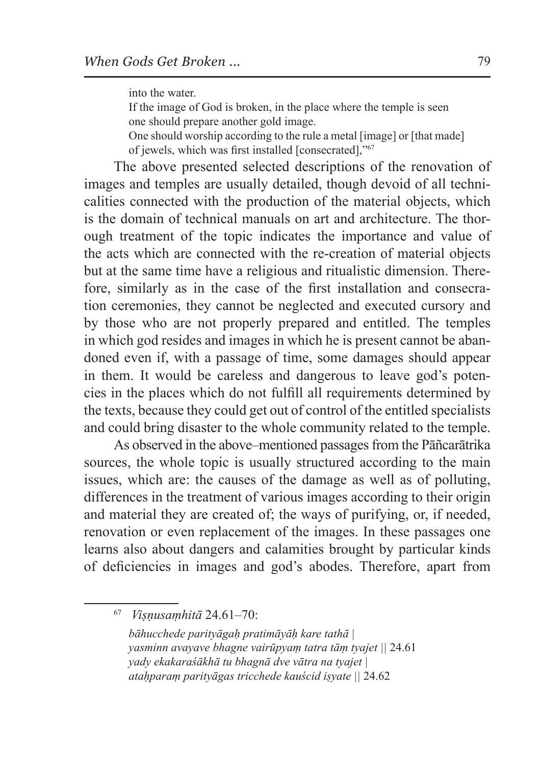into the water.

If the image of God is broken, in the place where the temple is seen one should prepare another gold image.

One should worship according to the rule a metal [image] or [that made] of jewels, which was first installed [consecrated],"67

The above presented selected descriptions of the renovation of images and temples are usually detailed, though devoid of all technicalities connected with the production of the material objects, which is the domain of technical manuals on art and architecture. The thorough treatment of the topic indicates the importance and value of the acts which are connected with the re-creation of material objects but at the same time have a religious and ritualistic dimension. Therefore, similarly as in the case of the first installation and consecration ceremonies, they cannot be neglected and executed cursory and by those who are not properly prepared and entitled. The temples in which god resides and images in which he is present cannot be abandoned even if, with a passage of time, some damages should appear in them. It would be careless and dangerous to leave god's potencies in the places which do not fulfill all requirements determined by the texts, because they could get out of control of the entitled specialists and could bring disaster to the whole community related to the temple.

As observed in the above–mentioned passages from the Pāñcarātrika sources, the whole topic is usually structured according to the main issues, which are: the causes of the damage as well as of polluting, differences in the treatment of various images according to their origin and material they are created of; the ways of purifying, or, if needed, renovation or even replacement of the images. In these passages one learns also about dangers and calamities brought by particular kinds of deficiencies in images and god's abodes. Therefore, apart from

<sup>67</sup> *Viṣṇusaṃhitā* 24.61–70:

*bāhucchede parityāgaḥ pratimāyāḥ kare tathā | yasminn avayave bhagne vairūpyaṃ tatra tāṃ tyajet ||* 24.61 *yady ekakaraśākhā tu bhagnā dve vātra na tyajet | ataḥparaṃ parityāgas tricchede kauścid iṣyate ||* 24.62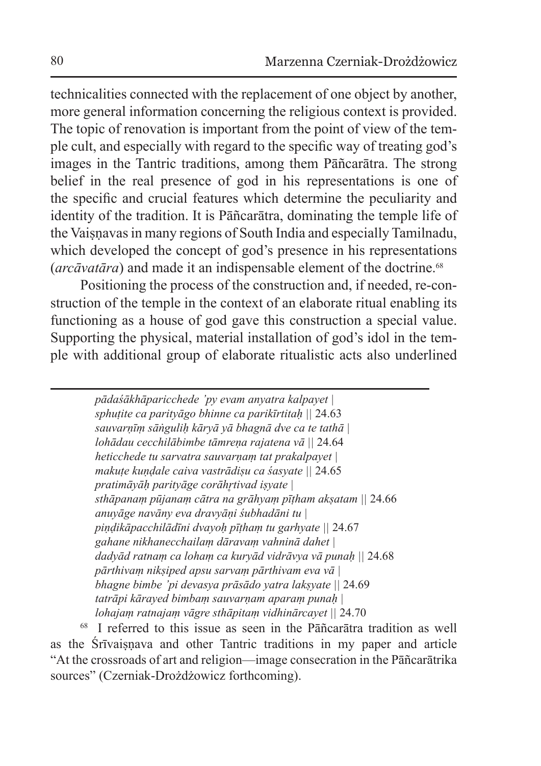technicalities connected with the replacement of one object by another, more general information concerning the religious context is provided. The topic of renovation is important from the point of view of the temple cult, and especially with regard to the specific way of treating god's images in the Tantric traditions, among them Pāñcarātra. The strong belief in the real presence of god in his representations is one of the specific and crucial features which determine the peculiarity and identity of the tradition. It is Pāñcarātra, dominating the temple life of the Vaiṣṇavas in many regions of South India and especially Tamilnadu, which developed the concept of god's presence in his representations (*arcāvatāra*) and made it an indispensable element of the doctrine.68

Positioning the process of the construction and, if needed, re-construction of the temple in the context of an elaborate ritual enabling its functioning as a house of god gave this construction a special value. Supporting the physical, material installation of god's idol in the temple with additional group of elaborate ritualistic acts also underlined

> *pādaśākhāparicchede 'py evam anyatra kalpayet | sphuṭite ca parityāgo bhinne ca parikīrtitaḥ ||* 24.63 *sauvarṇīṃ sāṅguliḥ kāryā yā bhagnā dve ca te tathā | lohādau cecchilābimbe tāmreṇa rajatena vā ||* 24.64 *heticchede tu sarvatra sauvarṇaṃ tat prakalpayet | makuṭe kuṇḍale caiva vastrādiṣu ca śasyate ||* 24.65 *pratimāyāḥ parityāge corāhr̥tivad iṣyate | sthāpanaṃ pūjanaṃ cātra na grāhyaṃ pīṭham akṣatam ||* 24.66 *anuyāge navāny eva dravyāṇi śubhadāni tu | piṇḍikāpacchilādīni dvayoḥ pīṭhaṃ tu garhyate ||* 24.67 *gahane nikhanecchailaṃ dāravaṃ vahninā dahet | dadyād ratnaṃ ca lohaṃ ca kuryād vidrāvya vā punaḥ ||* 24.68 *pārthivaṃ nikṣiped apsu sarvaṃ pārthivam eva vā | bhagne bimbe 'pi devasya prāsādo yatra lakṣyate ||* 24.69 *tatrāpi kārayed bimbaṃ sauvarṇam aparaṃ punaḥ | lohajaṃ ratnajaṃ vāgre sthāpitaṃ vidhinārcayet ||* 24.70

<sup>68</sup> I referred to this issue as seen in the Pāñcarātra tradition as well as the Śrīvaisnava and other Tantric traditions in my paper and article "At the crossroads of art and religion—image consecration in the Pāñcarātrika sources" (Czerniak-Drożdżowicz forthcoming).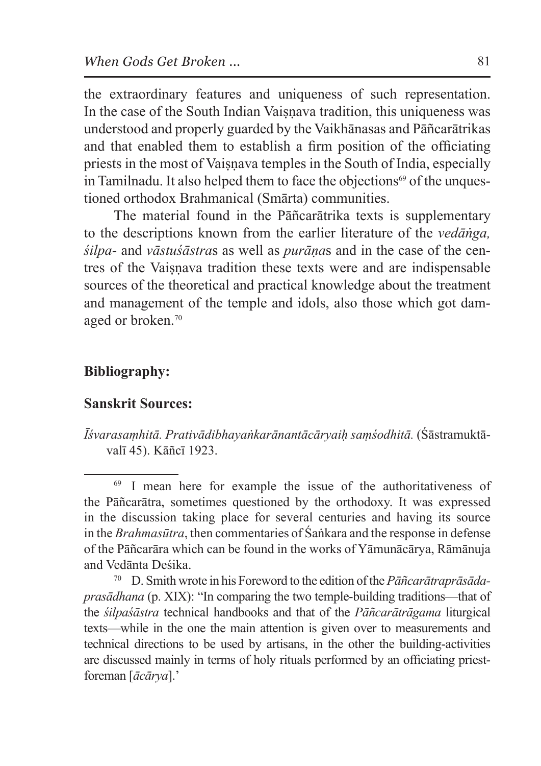the extraordinary features and uniqueness of such representation. In the case of the South Indian Vaisnava tradition, this uniqueness was understood and properly guarded by the Vaikhānasas and Pāñcarātrikas and that enabled them to establish a firm position of the officiating priests in the most of Vaisnava temples in the South of India, especially in Tamilnadu. It also helped them to face the objections<sup>69</sup> of the unquestioned orthodox Brahmanical (Smārta) communities.

The material found in the Pāñcarātrika texts is supplementary to the descriptions known from the earlier literature of the *vedāṅga, śilpa*- and *vāstuśāstra*s as well as *purāṇa*s and in the case of the centres of the Vaisnava tradition these texts were and are indispensable sources of the theoretical and practical knowledge about the treatment and management of the temple and idols, also those which got damaged or broken.<sup>70</sup>

#### **Bibliography:**

#### **Sanskrit Sources:**

*Īśvarasaṃhitā. Prativādibhayaṅkarānantācāryaiḥ saṃśodhitā.* (Śāstramuktāvalī 45). Kāñcī 1923.

<sup>69</sup> I mean here for example the issue of the authoritativeness of the Pāñcarātra, sometimes questioned by the orthodoxy. It was expressed in the discussion taking place for several centuries and having its source in the *Brahmasūtra*, then commentaries of Śaṅkara and the response in defense of the Pāñcarāra which can be found in the works of Yāmunācārya, Rāmānuja and Vedānta Deśika.

<sup>70</sup> D. Smith wrote in his Foreword to the edition of the *Pāñcarātraprāsādaprasādhana* (p. XIX): "In comparing the two temple-building traditions—that of the *śilpaśāstra* technical handbooks and that of the *Pāñcarātrāgama* liturgical texts—while in the one the main attention is given over to measurements and technical directions to be used by artisans, in the other the building-activities are discussed mainly in terms of holy rituals performed by an officiating priestforeman [*ācārya*].'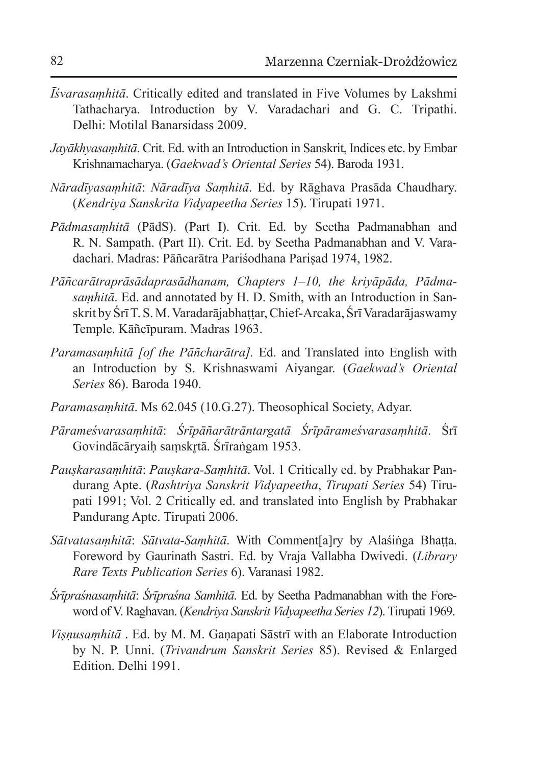- *Īśvarasaṃhitā*. Critically edited and translated in Five Volumes by Lakshmi Tathacharya. Introduction by V. Varadachari and G. C. Tripathi. Delhi: Motilal Banarsidass 2009.
- *Jayākhyasaṃhitā*. Crit. Ed. with an Introduction in Sanskrit, Indices etc. by Embar Krishnamacharya. (*Gaekwad's Oriental Series* 54). Baroda 1931.
- *Nāradīyasaṃhitā*: *Nāradīya Saṃhitā*. Ed. by Rāghava Prasāda Chaudhary. (*Kendriya Sanskrita Vidyapeetha Series* 15). Tirupati 1971.
- *Pādmasaṃhitā* (PādS). (Part I). Crit. Ed. by Seetha Padmanabhan and R. N. Sampath. (Part II). Crit. Ed. by Seetha Padmanabhan and V. Varadachari. Madras: Pāñcarātra Pariśodhana Pariṣad 1974, 1982.
- *Pāñcarātraprāsādaprasādhanam, Chapters 1–10, the kriyāpāda, Pādmasaṃhitā*. Ed. and annotated by H. D. Smith, with an Introduction in Sanskrit by Śrī T. S. M. Varadarājabhattar, Chief-Arcaka, Śrī Varadarājaswamy Temple. Kāñcīpuram. Madras 1963.
- *Paramasaṃhitā [of the Pāñcharātra].* Ed. and Translated into English with an Introduction by S. Krishnaswami Aiyangar. (*Gaekwad's Oriental Series* 86). Baroda 1940.
- *Paramasaṃhitā*. Ms 62.045 (10.G.27). Theosophical Society, Adyar.
- *Pārameśvarasaṃhitā*: *Śrīpāñarātrāntargatā Śrīpārameśvarasaṃhitā*. Śrī Govindācāryaih samskrtā. Śrīraṅgam 1953.
- *Pauṣkarasaṃhitā*: *Pauṣkara-Saṃhitā*. Vol. 1 Critically ed. by Prabhakar Pandurang Apte. (*Rashtriya Sanskrit Vidyapeetha*, *Tirupati Series* 54) Tirupati 1991; Vol. 2 Critically ed. and translated into English by Prabhakar Pandurang Apte. Tirupati 2006.
- *Sātvatasaṃhitā*: *Sātvata-Saṃhitā*. With Comment[a]ry by Alaśiṅga Bhaṭṭa. Foreword by Gaurinath Sastri. Ed. by Vraja Vallabha Dwivedi. (*Library Rare Texts Publication Series* 6). Varanasi 1982.
- *Śrīpraśnasaṃhitā*: *Śrīpraśna Samhitā*. Ed. by Seetha Padmanabhan with the Foreword of V. Raghavan. (*Kendriya Sanskrit Vidyapeetha Series 12*). Tirupati 1969.
- *Viṣṇusaṃhitā* . Ed. by M. M. Gaṇapati Sāstrī with an Elaborate Introduction by N. P. Unni. (*Trivandrum Sanskrit Series* 85). Revised & Enlarged Edition. Delhi 1991.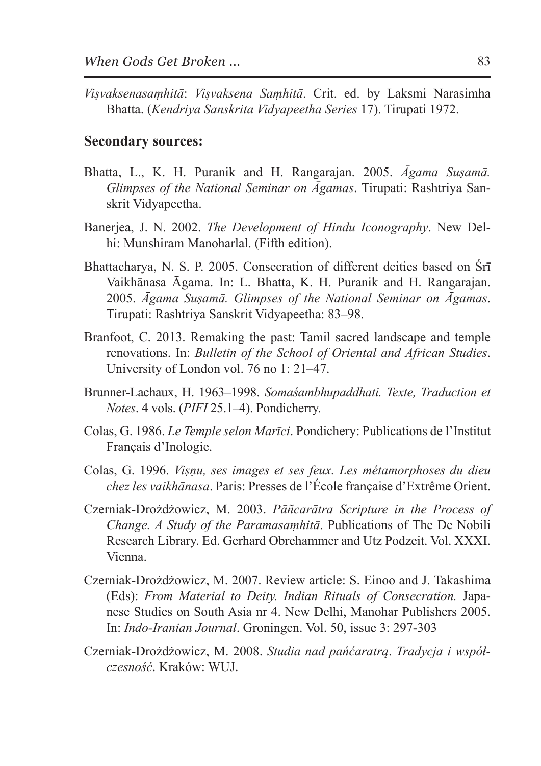*Viṣvaksenasaṃhitā*: *Viṣvaksena Saṃhitā*. Crit. ed. by Laksmi Narasimha Bhatta. (*Kendriya Sanskrita Vidyapeetha Series* 17). Tirupati 1972.

#### **Secondary sources:**

- Bhatta, L., K. H. Puranik and H. Rangarajan. 2005. *Āgama Suṣamā. Glimpses of the National Seminar on Āgamas*. Tirupati: Rashtriya Sanskrit Vidyapeetha.
- Banerjea, J. N. 2002. *The Development of Hindu Iconography*. New Delhi: Munshiram Manoharlal. (Fifth edition).
- Bhattacharya, N. S. P. 2005. Consecration of different deities based on Śrī Vaikhānasa Āgama. In: L. Bhatta, K. H. Puranik and H. Rangarajan. 2005. *Āgama Suṣamā. Glimpses of the National Seminar on Āgamas*. Tirupati: Rashtriya Sanskrit Vidyapeetha: 83–98.
- Branfoot, C. 2013. Remaking the past: Tamil sacred landscape and temple renovations. In: *Bulletin of the School of Oriental and African Studies*. University of London vol. 76 no 1: 21–47.
- Brunner-Lachaux, H. 1963–1998. *Somaśambhupaddhati. Texte, Traduction et Notes*. 4 vols. (*PIFI* 25.1–4). Pondicherry.
- Colas, G. 1986. *Le Temple selon Marīci*. Pondichery: Publications de l'Institut Français d'Inologie.
- Colas, G. 1996. *Viṣṇu, ses images et ses feux. Les métamorphoses du dieu chez les vaikhānasa*. Paris: Presses de l'École française d'Extrême Orient.
- Czerniak-Drożdżowicz, M. 2003. *Pāñcarātra Scripture in the Process of Change. A Study of the Paramasaṃhitā*. Publications of The De Nobili Research Library. Ed. Gerhard Obrehammer and Utz Podzeit. Vol. XXXI. Vienna.
- Czerniak-Drożdżowicz, M. 2007. Review article: S. Einoo and J. Takashima (Eds): *From Material to Deity. Indian Rituals of Consecration.* Japanese Studies on South Asia nr 4. New Delhi, Manohar Publishers 2005. In: *Indo-Iranian Journal*. Groningen. Vol. 50, issue 3: 297-303
- Czerniak-Drożdżowicz, M. 2008. *Studia nad pańćaratrą*. *Tradycja i współczesność*. Kraków: WUJ.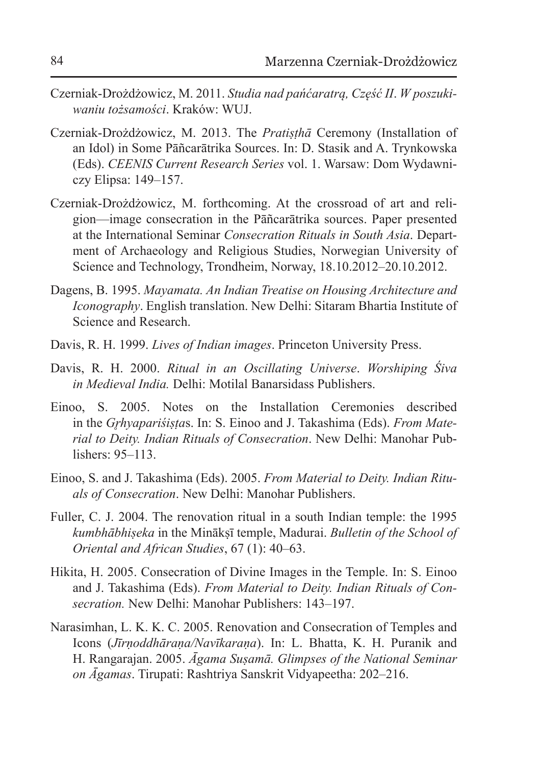- Czerniak-Drożdżowicz, M. 2011. *Studia nad pańćaratrą, Część II*. *W poszukiwaniu tożsamości*. Kraków: WUJ.
- Czerniak-Drożdżowicz, M. 2013. The *Pratiṣṭhā* Ceremony (Installation of an Idol) in Some Pāñcarātrika Sources. In: D. Stasik and A. Trynkowska (Eds). *CEENIS Current Research Series* vol. 1. Warsaw: Dom Wydawniczy Elipsa: 149–157.
- Czerniak-Drożdżowicz, M. forthcoming. At the crossroad of art and religion—image consecration in the Pāñcarātrika sources. Paper presented at the International Seminar *Consecration Rituals in South Asia*. Department of Archaeology and Religious Studies, Norwegian University of Science and Technology, Trondheim, Norway, 18.10.2012–20.10.2012.
- Dagens, B. 1995. *Mayamata. An Indian Treatise on Housing Architecture and Iconography*. English translation. New Delhi: Sitaram Bhartia Institute of Science and Research.
- Davis, R. H. 1999. *Lives of Indian images*. Princeton University Press.
- Davis, R. H. 2000. *Ritual in an Oscillating Universe*. *Worshiping Śiva in Medieval India.* Delhi: Motilal Banarsidass Publishers.
- Einoo, S. 2005. Notes on the Installation Ceremonies described in the *Gr̥hyapariśiṣṭa*s. In: S. Einoo and J. Takashima (Eds). *From Material to Deity. Indian Rituals of Consecration*. New Delhi: Manohar Publishers:  $95-113$ .
- Einoo, S. and J. Takashima (Eds). 2005. *From Material to Deity. Indian Rituals of Consecration*. New Delhi: Manohar Publishers.
- Fuller, C. J. 2004. The renovation ritual in a south Indian temple: the 1995 *kumbhābhiṣeka* in the Minākṣī temple, Madurai. *Bulletin of the School of Oriental and African Studies*, 67 (1): 40–63.
- Hikita, H. 2005. Consecration of Divine Images in the Temple. In: S. Einoo and J. Takashima (Eds). *From Material to Deity. Indian Rituals of Consecration.* New Delhi: Manohar Publishers: 143–197.
- Narasimhan, L. K. K. C. 2005. Renovation and Consecration of Temples and Icons (*Jīrṇoddhāraṇa/Navīkaraṇa*). In: L. Bhatta, K. H. Puranik and H. Rangarajan. 2005. *Āgama Suṣamā. Glimpses of the National Seminar on Āgamas*. Tirupati: Rashtriya Sanskrit Vidyapeetha: 202–216.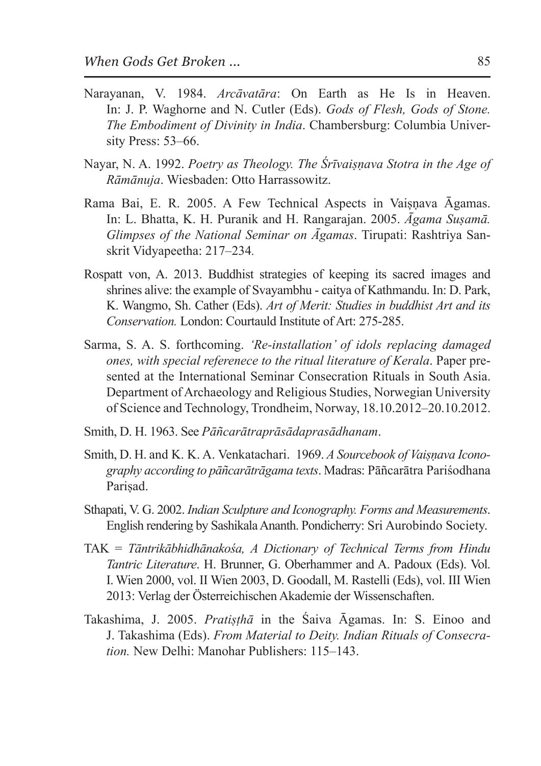- Narayanan, V. 1984. *Arcāvatāra*: On Earth as He Is in Heaven. In: J. P. Waghorne and N. Cutler (Eds). *Gods of Flesh, Gods of Stone. The Embodiment of Divinity in India*. Chambersburg: Columbia University Press: 53–66.
- Nayar, N. A. 1992. *Poetry as Theology. The Śrīvaiṣṇava Stotra in the Age of Rāmānuja*. Wiesbaden: Otto Harrassowitz.
- Rama Bai, E. R. 2005. A Few Technical Aspects in Vaisnava Āgamas. In: L. Bhatta, K. H. Puranik and H. Rangarajan. 2005. *Āgama Suṣamā. Glimpses of the National Seminar on Āgamas*. Tirupati: Rashtriya Sanskrit Vidyapeetha: 217–234*.*
- Rospatt von, A. 2013. Buddhist strategies of keeping its sacred images and shrines alive: the example of Svayambhu - caitya of Kathmandu. In: D. Park, K. Wangmo, Sh. Cather (Eds). *Art of Merit: Studies in buddhist Art and its Conservation.* London: Courtauld Institute of Art: 275-285.
- Sarma, S. A. S. forthcoming. *'Re-installation' of idols replacing damaged ones, with special referenece to the ritual literature of Kerala*. Paper presented at the International Seminar Consecration Rituals in South Asia. Department of Archaeology and Religious Studies, Norwegian University of Science and Technology, Trondheim, Norway, 18.10.2012–20.10.2012.
- Smith, D. H. 1963. See *Pāñcarātraprāsādaprasādhanam*.
- Smith, D. H. and K. K. A. Venkatachari. 1969. *A Sourcebook of Vaiṣṇava Iconography according to pāñcarātrāgama texts*. Madras: Pāñcarātra Pariśodhana Parisad.
- Sthapati, V. G. 2002. *Indian Sculpture and Iconography. Forms and Measurements*. English rendering by Sashikala Ananth. Pondicherry: Sri Aurobindo Society.
- TAK = *Tāntrikābhidhānakośa, A Dictionary of Technical Terms from Hindu Tantric Literature*. H. Brunner, G. Oberhammer and A. Padoux (Eds). Vol. I. Wien 2000, vol. II Wien 2003, D. Goodall, M. Rastelli (Eds), vol. III Wien 2013: Verlag der Österreichischen Akademie der Wissenschaften.
- Takashima, J. 2005. *Pratiṣṭhā* in the Śaiva Āgamas. In: S. Einoo and J. Takashima (Eds). *From Material to Deity. Indian Rituals of Consecration.* New Delhi: Manohar Publishers: 115–143.